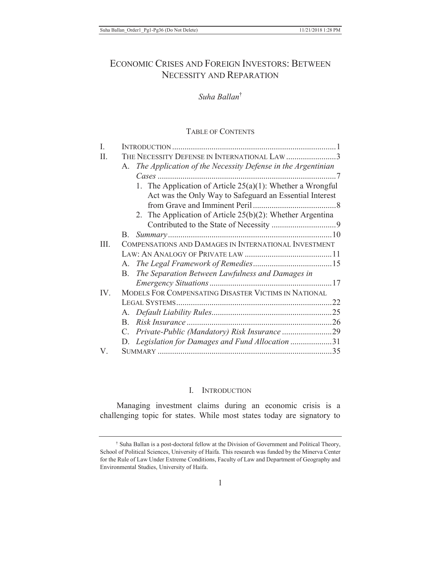# ECONOMIC CRISES AND FOREIGN INVESTORS: BETWEEN NECESSITY AND REPARATION

## *Suha Ballan*†

#### TABLE OF CONTENTS

| Ι   |                                                                |  |
|-----|----------------------------------------------------------------|--|
| П.  | THE NECESSITY DEFENSE IN INTERNATIONAL LAW 3                   |  |
|     | A. The Application of the Necessity Defense in the Argentinian |  |
|     |                                                                |  |
|     | 1. The Application of Article $25(a)(1)$ : Whether a Wrongful  |  |
|     | Act was the Only Way to Safeguard an Essential Interest        |  |
|     |                                                                |  |
|     | 2. The Application of Article $25(b)(2)$ : Whether Argentina   |  |
|     |                                                                |  |
|     | В.                                                             |  |
| Ш.  | COMPENSATIONS AND DAMAGES IN INTERNATIONAL INVESTMENT          |  |
|     |                                                                |  |
|     |                                                                |  |
|     | B. The Separation Between Lawfulness and Damages in            |  |
|     |                                                                |  |
| IV. | MODELS FOR COMPENSATING DISASTER VICTIMS IN NATIONAL           |  |
|     |                                                                |  |
|     |                                                                |  |
|     | $\mathbf{B}$                                                   |  |
|     | $C_{-}$                                                        |  |
|     | Legislation for Damages and Fund Allocation 31<br>D.           |  |
| V.  |                                                                |  |

#### I. INTRODUCTION

Managing investment claims during an economic crisis is a challenging topic for states. While most states today are signatory to

† Suha Ballan is a post-doctoral fellow at the Division of Government and Political Theory, School of Political Sciences, University of Haifa. This research was funded by the Minerva Center for the Rule of Law Under Extreme Conditions, Faculty of Law and Department of Geography and Environmental Studies, University of Haifa.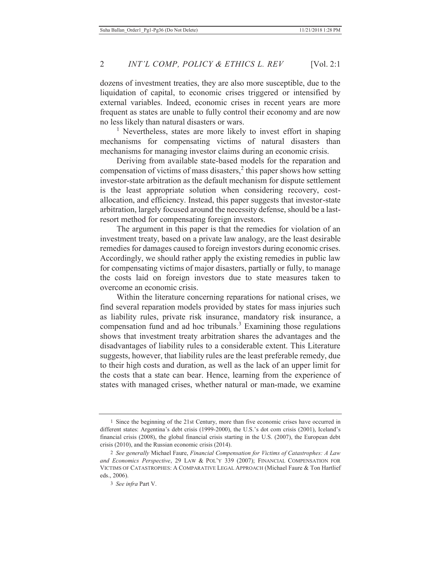dozens of investment treaties, they are also more susceptible, due to the liquidation of capital, to economic crises triggered or intensified by external variables. Indeed, economic crises in recent years are more frequent as states are unable to fully control their economy and are now no less likely than natural disasters or wars.

<sup>1</sup> Nevertheless, states are more likely to invest effort in shaping mechanisms for compensating victims of natural disasters than mechanisms for managing investor claims during an economic crisis.

Deriving from available state-based models for the reparation and compensation of victims of mass disasters, $2$  this paper shows how setting investor-state arbitration as the default mechanism for dispute settlement is the least appropriate solution when considering recovery, costallocation, and efficiency. Instead, this paper suggests that investor-state arbitration, largely focused around the necessity defense, should be a lastresort method for compensating foreign investors.

The argument in this paper is that the remedies for violation of an investment treaty, based on a private law analogy, are the least desirable remedies for damages caused to foreign investors during economic crises. Accordingly, we should rather apply the existing remedies in public law for compensating victims of major disasters, partially or fully, to manage the costs laid on foreign investors due to state measures taken to overcome an economic crisis.

Within the literature concerning reparations for national crises, we find several reparation models provided by states for mass injuries such as liability rules, private risk insurance, mandatory risk insurance, a compensation fund and ad hoc tribunals. $3$  Examining those regulations shows that investment treaty arbitration shares the advantages and the disadvantages of liability rules to a considerable extent. This Literature suggests, however, that liability rules are the least preferable remedy, due to their high costs and duration, as well as the lack of an upper limit for the costs that a state can bear. Hence, learning from the experience of states with managed crises, whether natural or man-made, we examine

<sup>1</sup> Since the beginning of the 21st Century, more than five economic crises have occurred in different states: Argentina's debt crisis (1999-2000), the U.S.'s dot com crisis (2001), Iceland's financial crisis (2008), the global financial crisis starting in the U.S. (2007), the European debt crisis (2010), and the Russian economic crisis (2014).

<sup>2</sup> *See generally* Michael Faure, *Financial Compensation for Victims of Catastrophes: A Law and Economics Perspective*, 29 LAW & POL'Y 339 (2007); FINANCIAL COMPENSATION FOR VICTIMS OF CATASTROPHES: A COMPARATIVE LEGAL APPROACH (Michael Faure & Ton Hartlief eds., 2006).

<sup>3</sup> *See infra* Part V.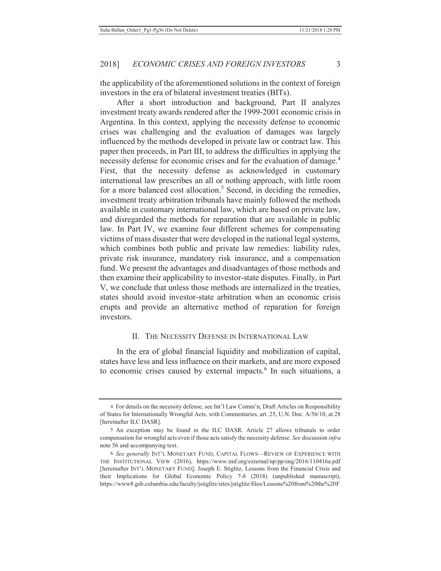the applicability of the aforementioned solutions in the context of foreign investors in the era of bilateral investment treaties (BITs).

After a short introduction and background, Part II analyzes investment treaty awards rendered after the 1999-2001 economic crisis in Argentina. In this context, applying the necessity defense to economic crises was challenging and the evaluation of damages was largely influenced by the methods developed in private law or contract law. This paper then proceeds, in Part III, to address the difficulties in applying the necessity defense for economic crises and for the evaluation of damage.<sup>4</sup> First, that the necessity defense as acknowledged in customary international law prescribes an all or nothing approach, with little room for a more balanced cost allocation.<sup>5</sup> Second, in deciding the remedies, investment treaty arbitration tribunals have mainly followed the methods available in customary international law, which are based on private law, and disregarded the methods for reparation that are available in public law. In Part IV, we examine four different schemes for compensating victims of mass disaster that were developed in the national legal systems, which combines both public and private law remedies: liability rules, private risk insurance, mandatory risk insurance, and a compensation fund. We present the advantages and disadvantages of those methods and then examine their applicability to investor-state disputes. Finally, in Part V, we conclude that unless those methods are internalized in the treaties, states should avoid investor-state arbitration when an economic crisis erupts and provide an alternative method of reparation for foreign investors.

## II. THE NECESSITY DEFENSE IN INTERNATIONAL LAW

In the era of global financial liquidity and mobilization of capital, states have less and less influence on their markets, and are more exposed to economic crises caused by external impacts.<sup>6</sup> In such situations, a

<sup>4</sup> For details on the necessity defense, see Int'l Law Comm'n, Draft Articles on Responsibility of States for Internationally Wrongful Acts, with Commentaries, art. 25, U.N. Doc. A/56/10, at 28 [hereinafter ILC DASR].

<sup>5</sup> An exception may be found in the ILC DASR. Article 27 allows tribunals to order compensation for wrongful acts even if those acts satisfy the necessity defense. *See* discussion *infra* note 56 and accompanying text.

<sup>6</sup> *See generally* INT'L MONETARY FUND, CAPITAL FLOWS—REVIEW OF EXPERIENCE WITH THE INSTITUTIONAL VIEW (2016), https://www.imf.org/external/np/pp/eng/2016/110416a.pdf [hereinafter INT'L MONETARY FUND]; Joseph E. Stiglitz, Lessons from the Financial Crisis and their Implications for Global Economic Policy 7-8 (2018) (unpublished manuscript), https://www8.gsb.columbia.edu/faculty/jstiglitz/sites/jstiglitz/files/Lessons%20from%20the%20F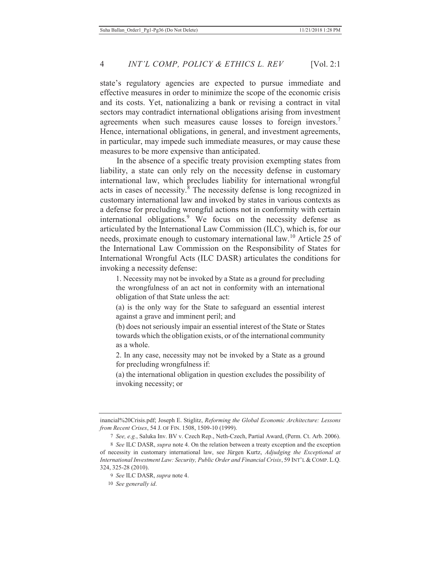state's regulatory agencies are expected to pursue immediate and effective measures in order to minimize the scope of the economic crisis and its costs. Yet, nationalizing a bank or revising a contract in vital sectors may contradict international obligations arising from investment agreements when such measures cause losses to foreign investors.<sup>7</sup> Hence, international obligations, in general, and investment agreements, in particular, may impede such immediate measures, or may cause these measures to be more expensive than anticipated.

In the absence of a specific treaty provision exempting states from liability, a state can only rely on the necessity defense in customary international law, which precludes liability for international wrongful acts in cases of necessity.<sup>8</sup> The necessity defense is long recognized in customary international law and invoked by states in various contexts as a defense for precluding wrongful actions not in conformity with certain international obligations.<sup>9</sup> We focus on the necessity defense as articulated by the International Law Commission (ILC), which is, for our needs, proximate enough to customary international law.10 Article 25 of the International Law Commission on the Responsibility of States for International Wrongful Acts (ILC DASR) articulates the conditions for invoking a necessity defense:

1. Necessity may not be invoked by a State as a ground for precluding the wrongfulness of an act not in conformity with an international obligation of that State unless the act:

(a) is the only way for the State to safeguard an essential interest against a grave and imminent peril; and

(b) does not seriously impair an essential interest of the State or States towards which the obligation exists, or of the international community as a whole.

2. In any case, necessity may not be invoked by a State as a ground for precluding wrongfulness if:

(a) the international obligation in question excludes the possibility of invoking necessity; or

inancial%20Crisis.pdf; Joseph E. Stiglitz, *Reforming the Global Economic Architecture: Lessons from Recent Crises*, 54 J. OF FIN. 1508, 1509-10 (1999).

<sup>7</sup> *See, e.g.*, Saluka Inv. BV v. Czech Rep., Neth-Czech, Partial Award, (Perm. Ct. Arb. 2006).

<sup>8</sup> *See* ILC DASR, *supra* note 4. On the relation between a treaty exception and the exception of necessity in customary international law, see Jürgen Kurtz, *Adjudging the Exceptional at International Investment Law: Security, Public Order and Financial Crisis*, 59 INT'L & COMP. L.Q. 324, 325-28 (2010).

<sup>9</sup> *See* ILC DASR, *supra* note 4.

<sup>10</sup> *See generally id*.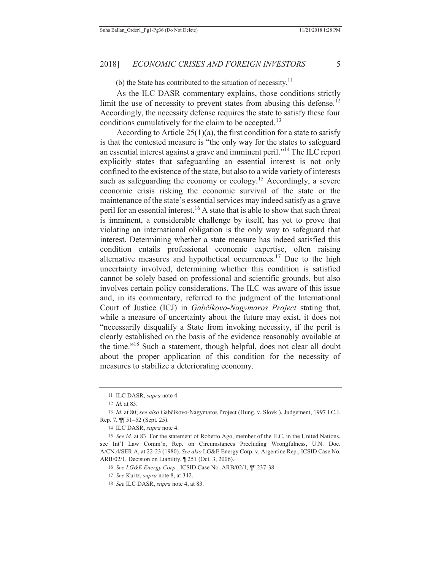(b) the State has contributed to the situation of necessity.<sup>11</sup>

As the ILC DASR commentary explains, those conditions strictly limit the use of necessity to prevent states from abusing this defense.<sup>12</sup> Accordingly, the necessity defense requires the state to satisfy these four conditions cumulatively for the claim to be accepted.<sup>13</sup>

According to Article  $25(1)(a)$ , the first condition for a state to satisfy is that the contested measure is "the only way for the states to safeguard an essential interest against a grave and imminent peril."14 The ILC report explicitly states that safeguarding an essential interest is not only confined to the existence of the state, but also to a wide variety of interests such as safeguarding the economy or ecology.<sup>15</sup> Accordingly, a severe economic crisis risking the economic survival of the state or the maintenance of the state's essential services may indeed satisfy as a grave peril for an essential interest.<sup>16</sup> A state that is able to show that such threat is imminent, a considerable challenge by itself, has yet to prove that violating an international obligation is the only way to safeguard that interest. Determining whether a state measure has indeed satisfied this condition entails professional economic expertise, often raising alternative measures and hypothetical occurrences.17 Due to the high uncertainty involved, determining whether this condition is satisfied cannot be solely based on professional and scientific grounds, but also involves certain policy considerations. The ILC was aware of this issue and, in its commentary, referred to the judgment of the International Court of Justice (ICJ) in *Gabčíkovo-Nagymaros Project* stating that, while a measure of uncertainty about the future may exist, it does not "necessarily disqualify a State from invoking necessity, if the peril is clearly established on the basis of the evidence reasonably available at the time."18 Such a statement, though helpful, does not clear all doubt about the proper application of this condition for the necessity of measures to stabilize a deteriorating economy.

<sup>11</sup> ILC DASR, *supra* note 4.

<sup>12</sup> *Id.* at 83.

<sup>13</sup> *Id.* at 80; *see also* Gabčíkovo-Nagymaros Project (Hung. v. Slovk.), Judgement, 1997 I.C.J. Rep. 7, ¶¶ 51–52 (Sept. 25).

<sup>14</sup> ILC DASR, *supra* note 4.

<sup>15</sup> *See id.* at 83. For the statement of Roberto Ago, member of the ILC, in the United Nations, see Int'l Law Comm'n, Rep. on Circumstances Precluding Wrongfulness, U.N. Doc. A/CN.4/SER.A, at 22-23 (1980). *See also* LG&E Energy Corp. v. Argentine Rep., ICSID Case No. ARB/02/1, Decision on Liability, ¶ 251 (Oct. 3, 2006).

<sup>16</sup> *See LG&E Energy Corp.*, ICSID Case No. ARB/02/1, ¶¶ 237-38.

<sup>17</sup> *See* Kurtz, *supra* note 8, at 342.

<sup>18</sup> *See* ILC DASR, *supra* note 4, at 83.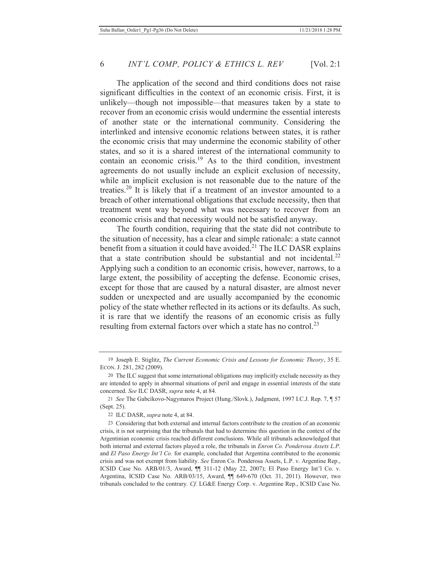The application of the second and third conditions does not raise significant difficulties in the context of an economic crisis. First, it is unlikely—though not impossible—that measures taken by a state to recover from an economic crisis would undermine the essential interests of another state or the international community. Considering the interlinked and intensive economic relations between states, it is rather the economic crisis that may undermine the economic stability of other states, and so it is a shared interest of the international community to contain an economic crisis.<sup>19</sup> As to the third condition, investment agreements do not usually include an explicit exclusion of necessity, while an implicit exclusion is not reasonable due to the nature of the treaties.20 It is likely that if a treatment of an investor amounted to a breach of other international obligations that exclude necessity, then that treatment went way beyond what was necessary to recover from an economic crisis and that necessity would not be satisfied anyway.

The fourth condition, requiring that the state did not contribute to the situation of necessity, has a clear and simple rationale: a state cannot benefit from a situation it could have avoided.<sup>21</sup> The ILC DASR explains that a state contribution should be substantial and not incidental.<sup>22</sup> Applying such a condition to an economic crisis, however, narrows, to a large extent, the possibility of accepting the defense. Economic crises, except for those that are caused by a natural disaster, are almost never sudden or unexpected and are usually accompanied by the economic policy of the state whether reflected in its actions or its defaults. As such, it is rare that we identify the reasons of an economic crisis as fully resulting from external factors over which a state has no control.<sup>23</sup>

<sup>19</sup> Joseph E. Stiglitz, *The Current Economic Crisis and Lessons for Economic Theory*, 35 E. ECON. J. 281, 282 (2009).

<sup>20</sup> The ILC suggest that some international obligations may implicitly exclude necessity as they are intended to apply in abnormal situations of peril and engage in essential interests of the state concerned. *See* ILC DASR, *supra* note 4, at 84.

<sup>21</sup> *See* The Gabcíkovo-Nagymaros Project (Hung./Slovk.), Judgment, 1997 I.C.J. Rep. 7, ¶ 57 (Sept. 25).

<sup>22</sup> ILC DASR, *supra* note 4, at 84.

<sup>23</sup> Considering that both external and internal factors contribute to the creation of an economic crisis, it is not surprising that the tribunals that had to determine this question in the context of the Argentinian economic crisis reached different conclusions. While all tribunals acknowledged that both internal and external factors played a role, the tribunals in *Enron Co. Ponderosa Assets L.P.* and *El Paso Energy Int'l Co.* for example, concluded that Argentina contributed to the economic crisis and was not exempt from liability. *See* Enron Co. Ponderosa Assets, L.P. v. Argentine Rep., ICSID Case No. ARB/01/3, Award, ¶¶ 311-12 (May 22, 2007); El Paso Energy Int'l Co. v. Argentina, ICSID Case No. ARB/03/15, Award, ¶¶ 649-670 (Oct. 31, 2011). However, two tribunals concluded to the contrary. *Cf.* LG&E Energy Corp. v. Argentine Rep., ICSID Case No.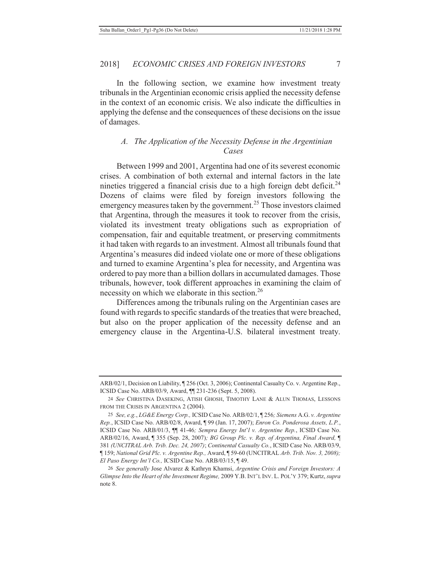In the following section, we examine how investment treaty tribunals in the Argentinian economic crisis applied the necessity defense

in the context of an economic crisis. We also indicate the difficulties in applying the defense and the consequences of these decisions on the issue of damages.

## *A. The Application of the Necessity Defense in the Argentinian Cases*

Between 1999 and 2001, Argentina had one of its severest economic crises. A combination of both external and internal factors in the late nineties triggered a financial crisis due to a high foreign debt deficit.<sup>24</sup> Dozens of claims were filed by foreign investors following the emergency measures taken by the government.<sup>25</sup> Those investors claimed that Argentina, through the measures it took to recover from the crisis, violated its investment treaty obligations such as expropriation of compensation, fair and equitable treatment, or preserving commitments it had taken with regards to an investment. Almost all tribunals found that Argentina's measures did indeed violate one or more of these obligations and turned to examine Argentina's plea for necessity, and Argentina was ordered to pay more than a billion dollars in accumulated damages. Those tribunals, however, took different approaches in examining the claim of necessity on which we elaborate in this section.<sup>26</sup>

Differences among the tribunals ruling on the Argentinian cases are found with regards to specific standards of the treaties that were breached, but also on the proper application of the necessity defense and an emergency clause in the Argentina-U.S. bilateral investment treaty.

ARB/02/1, Decision on Liability, ¶ 256 (Oct. 3, 2006); Continental Casualty Co. v. Argentine Rep., ICSID Case No. ARB/03/9, Award, ¶¶ 231-236 (Sept. 5, 2008).

<sup>24</sup> *See* CHRISTINA DASEKING, ATISH GHOSH, TIMOTHY LANE & ALUN THOMAS, LESSONS FROM THE CRISIS IN ARGENTINA 2 (2004).

<sup>25</sup> *See, e.g.*, *LG&E Energy Corp.,* ICSID Case No. ARB/02/1, ¶ 256*; Siemens* A.G. *v. Argentine Rep.*, ICSID Case No. ARB/02/8, Award, ¶ 99 (Jan. 17, 2007); *Enron Co. Ponderosa Assets, L.P.*, ICSID Case No. ARB/01/3, ¶¶ 41-46*; Sempra Energy Int*'*l v. Argentine Rep.*, ICSID Case No. ARB/02/16, Award, ¶ 355 (Sep. 28, 2007)*; BG Group Plc. v. Rep. of Argentina, Final Award,* ¶ 381 *(UNCITRAL Arb. Trib. Dec. 24, 2007)*; *Continental Casualty Co.*, ICSID Case No. ARB/03/9, ¶ 159; *National Grid Plc. v. Argentine Rep.,* Award, ¶ 59-60 (UNCITRAL *Arb. Trib. Nov. 3, 2008); El Paso Energy Int'l Co.,* ICSID Case No. ARB/03/15, ¶ 49.

<sup>26</sup> *See generally* Jose Alvarez & Kathryn Khamsi, *Argentine Crisis and Foreign Investors: A Glimpse Into the Heart of the Investment Regime,* 2009 Y.B. INT'L INV. L. POL'Y 379; Kurtz, *supra* note 8.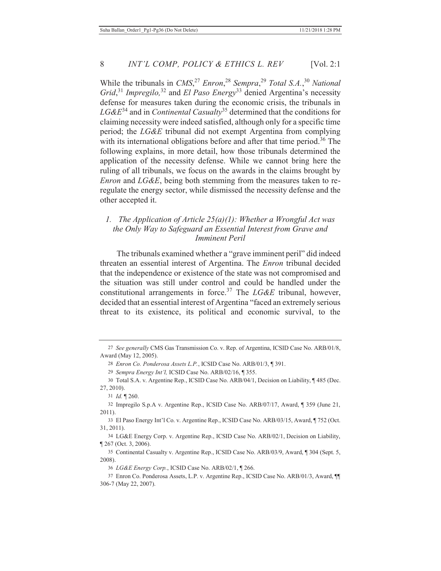While the tribunals in *CMS*, <sup>27</sup> *Enron*, <sup>28</sup> *Sempra*, <sup>29</sup> *Total S.A.*, <sup>30</sup> *National Grid*, <sup>31</sup> *Impregilo,*<sup>32</sup> and *El Paso Energy*33 denied Argentina's necessity defense for measures taken during the economic crisis, the tribunals in *LG&E*34 and in *Continental Casualty*35 determined that the conditions for claiming necessity were indeed satisfied, although only for a specific time period; the *LG&E* tribunal did not exempt Argentina from complying with its international obligations before and after that time period.<sup>36</sup> The following explains, in more detail, how those tribunals determined the application of the necessity defense. While we cannot bring here the ruling of all tribunals, we focus on the awards in the claims brought by *Enron* and *LG&E*, being both stemming from the measures taken to reregulate the energy sector, while dismissed the necessity defense and the other accepted it.

## *1. The Application of Article 25(a)(1): Whether a Wrongful Act was the Only Way to Safeguard an Essential Interest from Grave and Imminent Peril*

The tribunals examined whether a "grave imminent peril" did indeed threaten an essential interest of Argentina. The *Enron* tribunal decided that the independence or existence of the state was not compromised and the situation was still under control and could be handled under the constitutional arrangements in force.<sup>37</sup> The *LG&E* tribunal, however, decided that an essential interest of Argentina "faced an extremely serious threat to its existence, its political and economic survival, to the

34 LG&E Energy Corp. v. Argentine Rep., ICSID Case No. ARB/02/1, Decision on Liability, ¶ 267 (Oct. 3, 2006).

35 Continental Casualty v. Argentine Rep., ICSID Case No. ARB/03/9, Award, ¶ 304 (Sept. 5, 2008).

<sup>27</sup> *See generally* CMS Gas Transmission Co. v. Rep. of Argentina, ICSID Case No. ARB/01/8, Award (May 12, 2005).

<sup>28</sup> *Enron Co. Ponderosa Assets L.P.*, ICSID Case No. ARB/01/3, ¶ 391.

<sup>29</sup> *Sempra Energy Int'l,* ICSID Case No. ARB/02/16, ¶ 355.

<sup>30</sup> Total S.A. v. Argentine Rep., ICSID Case No. ARB/04/1, Decision on Liability, ¶ 485 (Dec. 27, 2010).

<sup>31</sup> *Id.* ¶ 260.

<sup>32</sup> Impregilo S.p.A v. Argentine Rep., ICSID Case No. ARB/07/17, Award, ¶ 359 (June 21, 2011).

<sup>33</sup> El Paso Energy Int'l Co. v. Argentine Rep., ICSID Case No. ARB/03/15, Award, ¶ 752 (Oct. 31, 2011).

<sup>36</sup> *LG&E Energy Corp.*, ICSID Case No. ARB/02/1, ¶ 266.

<sup>37</sup> Enron Co. Ponderosa Assets, L.P. v. Argentine Rep., ICSID Case No. ARB/01/3, Award, ¶¶ 306-7 (May 22, 2007).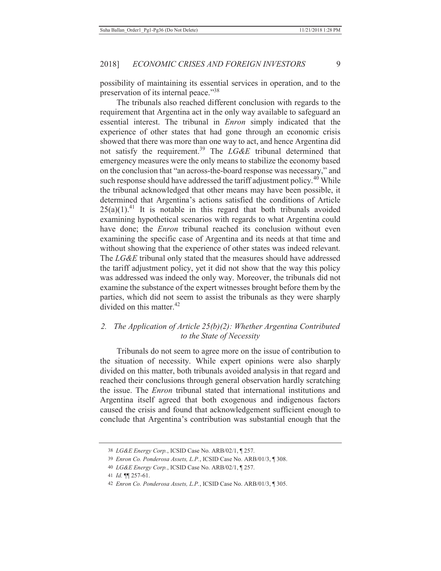possibility of maintaining its essential services in operation, and to the preservation of its internal peace."38

The tribunals also reached different conclusion with regards to the requirement that Argentina act in the only way available to safeguard an essential interest. The tribunal in *Enron* simply indicated that the experience of other states that had gone through an economic crisis showed that there was more than one way to act, and hence Argentina did not satisfy the requirement.39 The *LG&E* tribunal determined that emergency measures were the only means to stabilize the economy based on the conclusion that "an across-the-board response was necessary," and such response should have addressed the tariff adjustment policy.<sup>40</sup> While the tribunal acknowledged that other means may have been possible, it determined that Argentina's actions satisfied the conditions of Article  $25(a)(1)$ <sup>41</sup> It is notable in this regard that both tribunals avoided examining hypothetical scenarios with regards to what Argentina could have done; the *Enron* tribunal reached its conclusion without even examining the specific case of Argentina and its needs at that time and without showing that the experience of other states was indeed relevant. The *LG&E* tribunal only stated that the measures should have addressed the tariff adjustment policy, yet it did not show that the way this policy was addressed was indeed the only way. Moreover, the tribunals did not examine the substance of the expert witnesses brought before them by the parties, which did not seem to assist the tribunals as they were sharply divided on this matter.<sup>42</sup>

#### *2. The Application of Article 25(b)(2): Whether Argentina Contributed to the State of Necessity*

Tribunals do not seem to agree more on the issue of contribution to the situation of necessity. While expert opinions were also sharply divided on this matter, both tribunals avoided analysis in that regard and reached their conclusions through general observation hardly scratching the issue. The *Enron* tribunal stated that international institutions and Argentina itself agreed that both exogenous and indigenous factors caused the crisis and found that acknowledgement sufficient enough to conclude that Argentina's contribution was substantial enough that the

<sup>38</sup> *LG&E Energy Corp.*, ICSID Case No. ARB/02/1, ¶ 257.

<sup>39</sup> *Enron Co. Ponderosa Assets, L.P.*, ICSID Case No. ARB/01/3, ¶ 308.

<sup>40</sup> *LG&E Energy Corp.*, ICSID Case No. ARB/02/1, ¶ 257.

<sup>41</sup> *Id.* ¶¶ 257-61.

<sup>42</sup> *Enron Co. Ponderosa Assets, L.P.*, ICSID Case No. ARB/01/3, ¶ 305.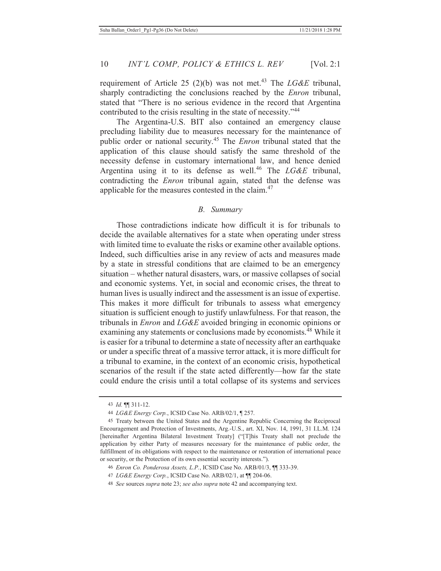requirement of Article 25 (2)(b) was not met.<sup>43</sup> The *LG&E* tribunal, sharply contradicting the conclusions reached by the *Enron* tribunal, stated that "There is no serious evidence in the record that Argentina contributed to the crisis resulting in the state of necessity."<sup>44</sup>

The Argentina-U.S. BIT also contained an emergency clause precluding liability due to measures necessary for the maintenance of public order or national security.45 The *Enron* tribunal stated that the application of this clause should satisfy the same threshold of the necessity defense in customary international law, and hence denied Argentina using it to its defense as well.<sup>46</sup> The *LG&E* tribunal, contradicting the *Enron* tribunal again, stated that the defense was applicable for the measures contested in the claim.<sup>47</sup>

#### *B. Summary*

Those contradictions indicate how difficult it is for tribunals to decide the available alternatives for a state when operating under stress with limited time to evaluate the risks or examine other available options. Indeed, such difficulties arise in any review of acts and measures made by a state in stressful conditions that are claimed to be an emergency situation – whether natural disasters, wars, or massive collapses of social and economic systems. Yet, in social and economic crises, the threat to human lives is usually indirect and the assessment is an issue of expertise. This makes it more difficult for tribunals to assess what emergency situation is sufficient enough to justify unlawfulness. For that reason, the tribunals in *Enron* and *LG&E* avoided bringing in economic opinions or examining any statements or conclusions made by economists.<sup>48</sup> While it is easier for a tribunal to determine a state of necessity after an earthquake or under a specific threat of a massive terror attack, it is more difficult for a tribunal to examine, in the context of an economic crisis, hypothetical scenarios of the result if the state acted differently—how far the state could endure the crisis until a total collapse of its systems and services

<sup>43</sup> *Id.* ¶¶ 311-12.

<sup>44</sup> *LG&E Energy Corp.*, ICSID Case No. ARB/02/1, ¶ 257.

<sup>45</sup> Treaty between the United States and the Argentine Republic Concerning the Reciprocal Encouragement and Protection of Investments, Arg.-U.S., art. XI, Nov. 14, 1991, 31 I.L.M. 124 [hereinafter Argentina Bilateral Investment Treaty] ("[T]his Treaty shall not preclude the application by either Party of measures necessary for the maintenance of public order, the fulfillment of its obligations with respect to the maintenance or restoration of international peace or security, or the Protection of its own essential security interests.").

<sup>46</sup> *Enron Co. Ponderosa Assets, L.P.*, ICSID Case No. ARB/01/3, ¶¶ 333-39.

<sup>47</sup> *LG&E Energy Corp.*, ICSID Case No. ARB/02/1, at ¶¶ 204-06.

<sup>48</sup> *See* sources *supra* note 23; *see also supra* note 42 and accompanying text.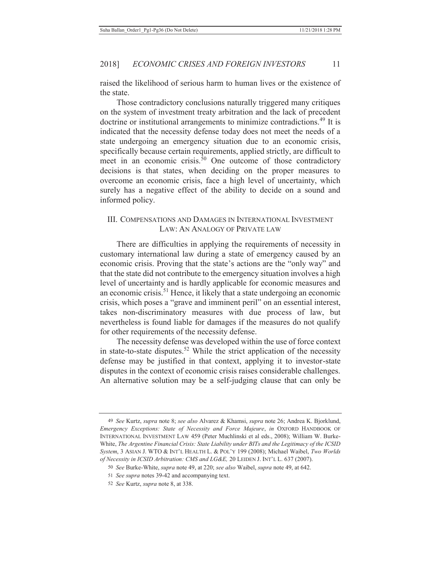raised the likelihood of serious harm to human lives or the existence of the state.

Those contradictory conclusions naturally triggered many critiques on the system of investment treaty arbitration and the lack of precedent doctrine or institutional arrangements to minimize contradictions.49 It is indicated that the necessity defense today does not meet the needs of a state undergoing an emergency situation due to an economic crisis, specifically because certain requirements, applied strictly, are difficult to meet in an economic crisis. $\bar{50}$  One outcome of those contradictory decisions is that states, when deciding on the proper measures to overcome an economic crisis, face a high level of uncertainty, which surely has a negative effect of the ability to decide on a sound and informed policy.

#### III. COMPENSATIONS AND DAMAGES IN INTERNATIONAL INVESTMENT LAW: AN ANALOGY OF PRIVATE LAW

There are difficulties in applying the requirements of necessity in customary international law during a state of emergency caused by an economic crisis. Proving that the state's actions are the "only way" and that the state did not contribute to the emergency situation involves a high level of uncertainty and is hardly applicable for economic measures and an economic crisis.51 Hence, it likely that a state undergoing an economic crisis, which poses a "grave and imminent peril" on an essential interest, takes non-discriminatory measures with due process of law, but nevertheless is found liable for damages if the measures do not qualify for other requirements of the necessity defense.

The necessity defense was developed within the use of force context in state-to-state disputes.<sup>52</sup> While the strict application of the necessity defense may be justified in that context, applying it to investor-state disputes in the context of economic crisis raises considerable challenges. An alternative solution may be a self-judging clause that can only be

<sup>49</sup> *See* Kurtz, *supra* note 8; *see also* Alvarez & Khamsi, *supra* note 26; Andrea K. Bjorklund, *Emergency Exceptions: State of Necessity and Force Majeure*, *in* OXFORD HANDBOOK OF INTERNATIONAL INVESTMENT LAW 459 (Peter Muchlinski et al eds., 2008); William W. Burke-White, *The Argentine Financial Crisis: State Liability under BITs and the Legitimacy of the ICSID System*, 3 ASIAN J. WTO & INT'L HEALTH L. & POL'Y 199 (2008); Michael Waibel, *Two Worlds of Necessity in ICSID Arbitration: CMS and LG&E,* 20 LEIDEN J. INT'L L. 637 (2007).

<sup>50</sup> *See* Burke-White, *supra* note 49, at 220; *see also* Waibel, *supra* note 49, at 642.

<sup>51</sup> *See supra* notes 39-42 and accompanying text.

<sup>52</sup> *See* Kurtz, *supra* note 8, at 338.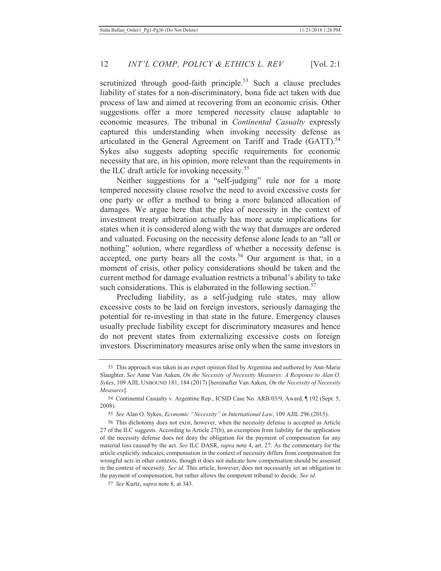scrutinized through good-faith principle.<sup>53</sup> Such a clause precludes liability of states for a non-discriminatory, bona fide act taken with due process of law and aimed at recovering from an economic crisis. Other suggestions offer a more tempered necessity clause adaptable to economic measures. The tribunal in *Continental Casualty* expressly captured this understanding when invoking necessity defense as articulated in the General Agreement on Tariff and Trade (GATT).<sup>54</sup> Sykes also suggests adopting specific requirements for economic necessity that are, in his opinion, more relevant than the requirements in the ILC draft article for invoking necessity.<sup>55</sup>

Neither suggestions for a "self-judging" rule nor for a more tempered necessity clause resolve the need to avoid excessive costs for one party or offer a method to bring a more balanced allocation of damages. We argue here that the plea of necessity in the context of investment treaty arbitration actually has more acute implications for states when it is considered along with the way that damages are ordered and valuated. Focusing on the necessity defense alone leads to an "all or nothing" solution, where regardless of whether a necessity defense is accepted, one party bears all the costs.<sup>56</sup> Our argument is that, in a moment of crisis, other policy considerations should be taken and the current method for damage evaluation restricts a tribunal's ability to take such considerations. This is elaborated in the following section.<sup>57</sup>

Precluding liability, as a self-judging rule states, may allow excessive costs to be laid on foreign investors, seriously damaging the potential for re-investing in that state in the future. Emergency clauses usually preclude liability except for discriminatory measures and hence do not prevent states from externalizing excessive costs on foreign investors. Discriminatory measures arise only when the same investors in

<sup>53</sup> This approach was taken in an expert opinion filed by Argentina and authored by Ann-Marie Slaughter. *See* Anne Van Aaken, *On the Necessity of Necessity Measures: A Response to Alan O. Sykes*, 109 AJIL UNBOUND 181, 184 (2017) [hereinafter Van Aaken, *On the Necessity of Necessity Measures*].

<sup>54</sup> Continental Casualty v. Argentine Rep., ICSID Case No. ARB/03/9, Award, ¶ 192 (Sept. 5, 2008).

<sup>55</sup> *See* Alan O. Sykes, *Economic "Necessity" in International Law*, 109 AJIL 296 (2015).

<sup>56</sup> This dichotomy does not exist, however, when the necessity defense is accepted as Article 27 of the ILC suggests. According to Article 27(b), an exemption from liability for the application of the necessity defense does not deny the obligation for the payment of compensation for any material loss caused by the act. *See* ILC DASR, *supra* note 4, art. 27. As the commentary for the article explicitly indicates, compensation in the context of necessity differs from compensation for wrongful acts in other contexts, though it does not indicate how compensation should be assessed in the context of necessity. *See id.* This article, however, does not necessarily set an obligation to the payment of compensation, but rather allows the competent tribunal to decide. *See id.* 

<sup>57</sup> *See* Kurtz, *supra* note 8, at 343.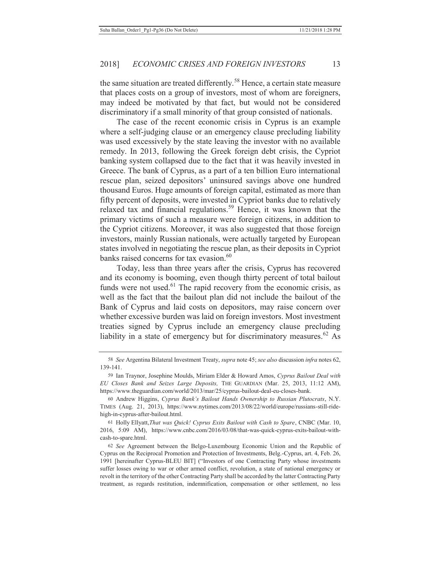the same situation are treated differently.<sup>58</sup> Hence, a certain state measure that places costs on a group of investors, most of whom are foreigners, may indeed be motivated by that fact, but would not be considered discriminatory if a small minority of that group consisted of nationals.

The case of the recent economic crisis in Cyprus is an example where a self-judging clause or an emergency clause precluding liability was used excessively by the state leaving the investor with no available remedy. In 2013, following the Greek foreign debt crisis, the Cypriot banking system collapsed due to the fact that it was heavily invested in Greece. The bank of Cyprus, as a part of a ten billion Euro international rescue plan, seized depositors' uninsured savings above one hundred thousand Euros. Huge amounts of foreign capital, estimated as more than fifty percent of deposits, were invested in Cypriot banks due to relatively relaxed tax and financial regulations.<sup>59</sup> Hence, it was known that the primary victims of such a measure were foreign citizens, in addition to the Cypriot citizens. Moreover, it was also suggested that those foreign investors, mainly Russian nationals, were actually targeted by European states involved in negotiating the rescue plan, as their deposits in Cypriot banks raised concerns for tax evasion.<sup>60</sup>

Today, less than three years after the crisis, Cyprus has recovered and its economy is booming, even though thirty percent of total bailout funds were not used.<sup>61</sup> The rapid recovery from the economic crisis, as well as the fact that the bailout plan did not include the bailout of the Bank of Cyprus and laid costs on depositors, may raise concern over whether excessive burden was laid on foreign investors. Most investment treaties signed by Cyprus include an emergency clause precluding liability in a state of emergency but for discriminatory measures.<sup>62</sup> As

<sup>58</sup> *See* Argentina Bilateral Investment Treaty, *supra* note 45; *see also* discussion *infra* notes 62, 139-141.

<sup>59</sup> Ian Traynor, Josephine Moulds, Miriam Elder & Howard Amos, *Cyprus Bailout Deal with EU Closes Bank and Seizes Large Deposits,* THE GUARDIAN (Mar. 25, 2013, 11:12 AM), https://www.theguardian.com/world/2013/mar/25/cyprus-bailout-deal-eu-closes-bank.

<sup>60</sup> Andrew Higgins, *Cyprus Bank's Bailout Hands Ownership to Russian Plutocrats*, N.Y. TIMES (Aug. 21, 2013), https://www.nytimes.com/2013/08/22/world/europe/russians-still-ridehigh-in-cyprus-after-bailout.html.

<sup>61</sup> Holly Ellyatt,*That was Quick! Cyprus Exits Bailout with Cash to Spare*, CNBC (Mar. 10, 2016, 5:09 AM), https://www.cnbc.com/2016/03/08/that-was-quick-cyprus-exits-bailout-withcash-to-spare.html.

<sup>62</sup> *See* Agreement between the Belgo-Luxembourg Economic Union and the Republic of Cyprus on the Reciprocal Promotion and Protection of Investments, Belg.-Cyprus, art. 4, Feb. 26, 1991 [hereinafter Cyprus-BLEU BIT] ("Investors of one Contracting Party whose investments suffer losses owing to war or other armed conflict, revolution, a state of national emergency or revolt in the territory of the other Contracting Party shall be accorded by the latter Contracting Party treatment, as regards restitution, indemnification, compensation or other settlement, no less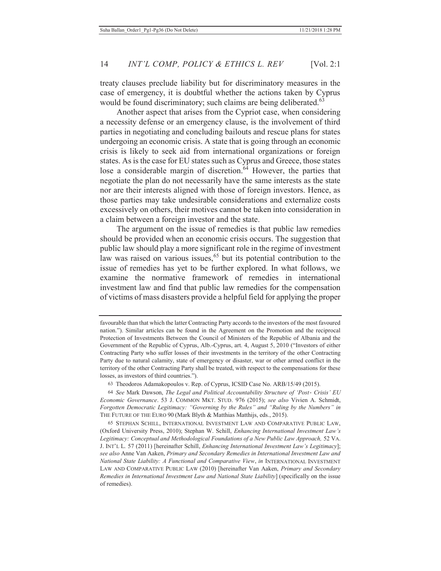treaty clauses preclude liability but for discriminatory measures in the case of emergency, it is doubtful whether the actions taken by Cyprus would be found discriminatory; such claims are being deliberated.<sup>63</sup>

Another aspect that arises from the Cypriot case, when considering a necessity defense or an emergency clause, is the involvement of third parties in negotiating and concluding bailouts and rescue plans for states undergoing an economic crisis. A state that is going through an economic crisis is likely to seek aid from international organizations or foreign states. As is the case for EU states such as Cyprus and Greece, those states lose a considerable margin of discretion. $64$  However, the parties that negotiate the plan do not necessarily have the same interests as the state nor are their interests aligned with those of foreign investors. Hence, as those parties may take undesirable considerations and externalize costs excessively on others, their motives cannot be taken into consideration in a claim between a foreign investor and the state.

The argument on the issue of remedies is that public law remedies should be provided when an economic crisis occurs. The suggestion that public law should play a more significant role in the regime of investment law was raised on various issues,<sup>65</sup> but its potential contribution to the issue of remedies has yet to be further explored. In what follows, we examine the normative framework of remedies in international investment law and find that public law remedies for the compensation of victims of mass disasters provide a helpful field for applying the proper

favourable than that which the latter Contracting Party accords to the investors of the most favoured nation."). Similar articles can be found in the Agreement on the Promotion and the reciprocal Protection of Investments Between the Council of Ministers of the Republic of Albania and the Government of the Republic of Cyprus, Alb.-Cyprus, art. 4, August 5, 2010 ("Investors of either Contracting Party who suffer losses of their investments in the territory of the other Contracting Party due to natural calamity, state of emergency or disaster, war or other armed conflict in the territory of the other Contracting Party shall be treated, with respect to the compensations for these losses, as investors of third countries.").

<sup>63</sup> Theodoros Adamakopoulos v. Rep. of Cyprus, ICSID Case No. ARB/15/49 (2015).

<sup>64</sup> See Mark Dawson, *The Legal and Political Accountability Structure of 'Post- Crisis' EU Economic Governance*. 53 J. COMMON MKT. STUD. 976 (2015); *see also* Vivien A. Schmidt, *Forgotten Democratic Legitimacy: "Governing by the Rules" and "Ruling by the Numbers" in*  THE FUTURE OF THE EURO 90 (Mark Blyth & Matthias Matthijs, eds., 2015).

<sup>65</sup> STEPHAN SCHILL, INTERNATIONAL INVESTMENT LAW AND COMPARATIVE PUBLIC LAW, (Oxford University Press, 2010); Stephan W. Schill, *Enhancing International Investment Law's*  Legitimacy: Conceptual and Methodological Foundations of a New Public Law Approach, 52 VA. J. INT'L L*.* 57 (2011) [hereinafter Schill, *Enhancing International Investment Law's Legitimacy*]; *see also* Anne Van Aaken, *Primary and Secondary Remedies in International Investment Law and National State Liability: A Functional and Comparative View*, *in* INTERNATIONAL INVESTMENT LAW AND COMPARATIVE PUBLIC LAW (2010) [hereinafter Van Aaken, *Primary and Secondary Remedies in International Investment Law and National State Liability*] (specifically on the issue of remedies).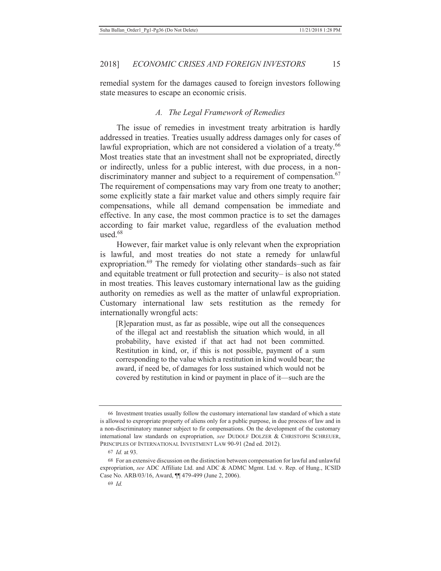remedial system for the damages caused to foreign investors following state measures to escape an economic crisis.

#### *A. The Legal Framework of Remedies*

The issue of remedies in investment treaty arbitration is hardly addressed in treaties. Treaties usually address damages only for cases of lawful expropriation, which are not considered a violation of a treaty.<sup>66</sup> Most treaties state that an investment shall not be expropriated, directly or indirectly, unless for a public interest, with due process, in a nondiscriminatory manner and subject to a requirement of compensation.<sup>67</sup> The requirement of compensations may vary from one treaty to another; some explicitly state a fair market value and others simply require fair compensations, while all demand compensation be immediate and effective. In any case, the most common practice is to set the damages according to fair market value, regardless of the evaluation method used $68$ 

However, fair market value is only relevant when the expropriation is lawful, and most treaties do not state a remedy for unlawful expropriation.<sup>69</sup> The remedy for violating other standards–such as fair and equitable treatment or full protection and security– is also not stated in most treaties. This leaves customary international law as the guiding authority on remedies as well as the matter of unlawful expropriation. Customary international law sets restitution as the remedy for internationally wrongful acts:

[R]eparation must, as far as possible, wipe out all the consequences of the illegal act and reestablish the situation which would, in all probability, have existed if that act had not been committed. Restitution in kind, or, if this is not possible, payment of a sum corresponding to the value which a restitution in kind would bear; the award, if need be, of damages for loss sustained which would not be covered by restitution in kind or payment in place of it—such are the

<sup>66</sup> Investment treaties usually follow the customary international law standard of which a state is allowed to expropriate property of aliens only for a public purpose, in due process of law and in a non-discriminatory manner subject to fir compensations. On the development of the customary international law standards on expropriation, *see* DUDOLF DOLZER & CHRISTOPH SCHREUER, PRINCIPLES OF INTERNATIONAL INVESTMENT LAW 90-91 (2nd ed. 2012).

<sup>67</sup> *Id.* at 93.

<sup>68</sup> For an extensive discussion on the distinction between compensation for lawful and unlawful expropriation, *see* ADC Affiliate Ltd. and ADC & ADMC Mgmt. Ltd. v. Rep. of Hung., ICSID Case No. ARB/03/16, Award, ¶¶ 479-499 (June 2, 2006).

<sup>69</sup> *Id.*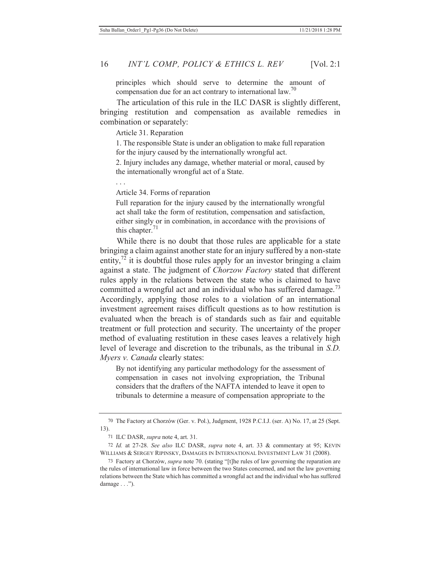principles which should serve to determine the amount of compensation due for an act contrary to international law.<sup>70</sup>

The articulation of this rule in the ILC DASR is slightly different, bringing restitution and compensation as available remedies in combination or separately:

Article 31. Reparation

. . .

1. The responsible State is under an obligation to make full reparation for the injury caused by the internationally wrongful act.

2. Injury includes any damage, whether material or moral, caused by the internationally wrongful act of a State.

Article 34. Forms of reparation

Full reparation for the injury caused by the internationally wrongful act shall take the form of restitution, compensation and satisfaction, either singly or in combination, in accordance with the provisions of this chapter. $71$ 

While there is no doubt that those rules are applicable for a state bringing a claim against another state for an injury suffered by a non-state entity,  $72$  it is doubtful those rules apply for an investor bringing a claim against a state. The judgment of *Chorzow Factory* stated that different rules apply in the relations between the state who is claimed to have committed a wrongful act and an individual who has suffered damage.<sup>73</sup> Accordingly, applying those roles to a violation of an international investment agreement raises difficult questions as to how restitution is evaluated when the breach is of standards such as fair and equitable treatment or full protection and security. The uncertainty of the proper method of evaluating restitution in these cases leaves a relatively high level of leverage and discretion to the tribunals, as the tribunal in *S.D. Myers v. Canada* clearly states:

By not identifying any particular methodology for the assessment of compensation in cases not involving expropriation, the Tribunal considers that the drafters of the NAFTA intended to leave it open to tribunals to determine a measure of compensation appropriate to the

<sup>70</sup> The Factory at Chorzów (Ger. v. Pol.), Judgment, 1928 P.C.I.J. (ser. A) No. 17, at 25 (Sept. 13).

<sup>71</sup> ILC DASR, *supra* note 4, art. 31.

<sup>72</sup> *Id.* at 27-28. *See also* ILC DASR, *supra* note 4, art. 33 & commentary at 95; KEVIN WILLIAMS & SERGEY RIPINSKY, DAMAGES IN INTERNATIONAL INVESTMENT LAW 31 (2008).

<sup>73</sup> Factory at Chorzów, *supra* note 70. (stating "[t]he rules of law governing the reparation are the rules of international law in force between the two States concerned, and not the law governing relations between the State which has committed a wrongful act and the individual who has suffered damage  $\ldots$ ").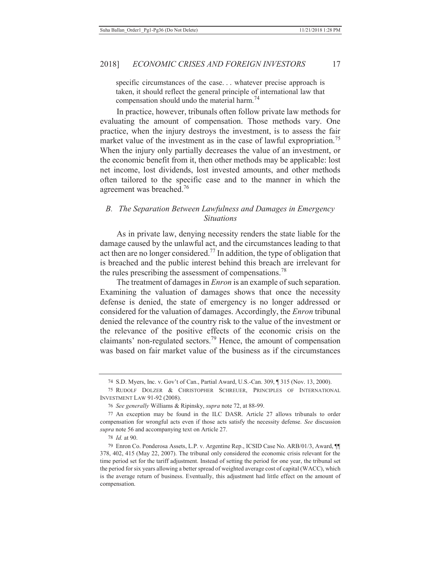specific circumstances of the case. . . whatever precise approach is taken, it should reflect the general principle of international law that compensation should undo the material harm.<sup>74</sup>

In practice, however, tribunals often follow private law methods for evaluating the amount of compensation. Those methods vary. One practice, when the injury destroys the investment, is to assess the fair market value of the investment as in the case of lawful expropriation.<sup>75</sup> When the injury only partially decreases the value of an investment, or the economic benefit from it, then other methods may be applicable: lost net income, lost dividends, lost invested amounts, and other methods often tailored to the specific case and to the manner in which the agreement was breached.<sup>76</sup>

### *B. The Separation Between Lawfulness and Damages in Emergency Situations*

As in private law, denying necessity renders the state liable for the damage caused by the unlawful act, and the circumstances leading to that act then are no longer considered.<sup>77</sup> In addition, the type of obligation that is breached and the public interest behind this breach are irrelevant for the rules prescribing the assessment of compensations.<sup>78</sup>

The treatment of damages in *Enron* is an example of such separation. Examining the valuation of damages shows that once the necessity defense is denied, the state of emergency is no longer addressed or considered for the valuation of damages. Accordingly, the *Enron* tribunal denied the relevance of the country risk to the value of the investment or the relevance of the positive effects of the economic crisis on the claimants' non-regulated sectors.79 Hence, the amount of compensation was based on fair market value of the business as if the circumstances

78 *Id.* at 90.

<sup>74</sup> S.D. Myers, Inc. v. Gov't of Can., Partial Award, U.S.-Can. 309, ¶ 315 (Nov. 13, 2000).

<sup>75</sup> RUDOLF DOLZER & CHRISTOPHER SCHREUER, PRINCIPLES OF INTERNATIONAL INVESTMENT LAW 91-92 (2008).

<sup>76</sup> *See generally* Williams & Ripinsky, *supra* note 72, at 88-99.

<sup>77</sup> An exception may be found in the ILC DASR. Article 27 allows tribunals to order compensation for wrongful acts even if those acts satisfy the necessity defense. *See* discussion *supra* note 56 and accompanying text on Article 27.

<sup>79</sup> Enron Co. Ponderosa Assets, L.P. v. Argentine Rep., ICSID Case No. ARB/01/3, Award, ¶¶ 378, 402, 415 (May 22, 2007). The tribunal only considered the economic crisis relevant for the time period set for the tariff adjustment. Instead of setting the period for one year, the tribunal set the period for six years allowing a better spread of weighted average cost of capital (WACC), which is the average return of business. Eventually, this adjustment had little effect on the amount of compensation.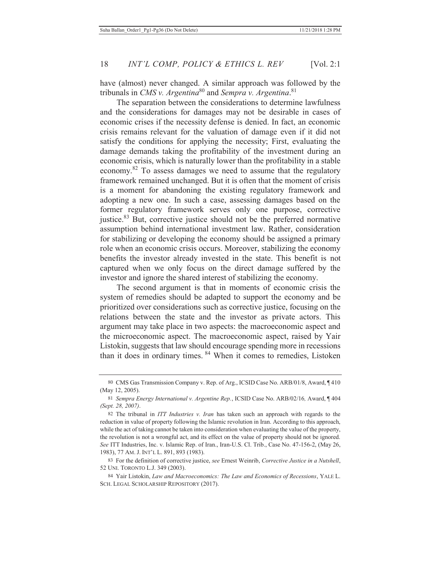have (almost) never changed. A similar approach was followed by the tribunals in *CMS v. Argentina*<sup>80</sup> and *Sempra v. Argentina*.<sup>81</sup>

The separation between the considerations to determine lawfulness and the considerations for damages may not be desirable in cases of economic crises if the necessity defense is denied. In fact, an economic crisis remains relevant for the valuation of damage even if it did not satisfy the conditions for applying the necessity; First, evaluating the damage demands taking the profitability of the investment during an economic crisis, which is naturally lower than the profitability in a stable economy.82 To assess damages we need to assume that the regulatory framework remained unchanged. But it is often that the moment of crisis is a moment for abandoning the existing regulatory framework and adopting a new one. In such a case, assessing damages based on the former regulatory framework serves only one purpose, corrective justice.<sup>83</sup> But, corrective justice should not be the preferred normative assumption behind international investment law. Rather, consideration for stabilizing or developing the economy should be assigned a primary role when an economic crisis occurs. Moreover, stabilizing the economy benefits the investor already invested in the state. This benefit is not captured when we only focus on the direct damage suffered by the investor and ignore the shared interest of stabilizing the economy.

The second argument is that in moments of economic crisis the system of remedies should be adapted to support the economy and be prioritized over considerations such as corrective justice, focusing on the relations between the state and the investor as private actors. This argument may take place in two aspects: the macroeconomic aspect and the microeconomic aspect. The macroeconomic aspect, raised by Yair Listokin, suggests that law should encourage spending more in recessions than it does in ordinary times. 84 When it comes to remedies, Listoken

<sup>80</sup> CMS Gas Transmission Company v. Rep. of Arg., ICSID Case No. ARB/01/8, Award, ¶ 410 (May 12, 2005).

<sup>81</sup> *Sempra Energy International v. Argentine Rep.*, ICSID Case No. ARB/02/16*,* Award, ¶ 404 *(Sept. 28, 2007)*.

<sup>82</sup> The tribunal in *ITT Industries v. Iran* has taken such an approach with regards to the reduction in value of property following the Islamic revolution in Iran. According to this approach, while the act of taking cannot be taken into consideration when evaluating the value of the property, the revolution is not a wrongful act, and its effect on the value of property should not be ignored. *See* ITT Industries, Inc. v. Islamic Rep. of Iran., Iran-U.S. Cl. Trib., Case No. 47-156-2, (May 26, 1983), 77 AM. J. INT'L L. 891, 893 (1983).

<sup>83</sup> For the definition of corrective justice, *see* Ernest Weinrib, *Corrective Justice in a Nutshell*, 52 UNI. TORONTO L.J. 349 (2003).

<sup>84</sup> Yair Listokin, *Law and Macroeconomics: The Law and Economics of Recessions*, YALE L. SCH. LEGAL SCHOLARSHIP REPOSITORY (2017).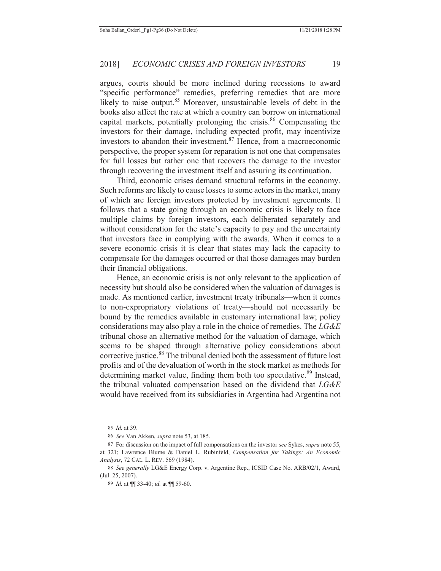argues, courts should be more inclined during recessions to award "specific performance" remedies, preferring remedies that are more likely to raise output.<sup>85</sup> Moreover, unsustainable levels of debt in the books also affect the rate at which a country can borrow on international capital markets, potentially prolonging the crisis.<sup>86</sup> Compensating the investors for their damage, including expected profit, may incentivize investors to abandon their investment.<sup>87</sup> Hence, from a macroeconomic perspective, the proper system for reparation is not one that compensates for full losses but rather one that recovers the damage to the investor through recovering the investment itself and assuring its continuation.

Third, economic crises demand structural reforms in the economy. Such reforms are likely to cause losses to some actors in the market, many of which are foreign investors protected by investment agreements. It follows that a state going through an economic crisis is likely to face multiple claims by foreign investors, each deliberated separately and without consideration for the state's capacity to pay and the uncertainty that investors face in complying with the awards. When it comes to a severe economic crisis it is clear that states may lack the capacity to compensate for the damages occurred or that those damages may burden their financial obligations.

Hence, an economic crisis is not only relevant to the application of necessity but should also be considered when the valuation of damages is made. As mentioned earlier, investment treaty tribunals—when it comes to non-expropriatory violations of treaty—should not necessarily be bound by the remedies available in customary international law; policy considerations may also play a role in the choice of remedies. The *LG&E* tribunal chose an alternative method for the valuation of damage, which seems to be shaped through alternative policy considerations about corrective justice.<sup>88</sup> The tribunal denied both the assessment of future lost profits and of the devaluation of worth in the stock market as methods for determining market value, finding them both too speculative.<sup>89</sup> Instead, the tribunal valuated compensation based on the dividend that *LG&E* would have received from its subsidiaries in Argentina had Argentina not

<sup>85</sup> *Id.* at 39.

<sup>86</sup> *See* Van Akken, *supra* note 53, at 185.

<sup>87</sup> For discussion on the impact of full compensations on the investor *see* Sykes, *supra* note 55, at 321; Lawrence Blume & Daniel L. Rubinfeld, *Compensation for Takings: An Economic Analysis*, 72 CAL. L. REV. 569 (1984).

<sup>88</sup> *See generally* LG&E Energy Corp. v. Argentine Rep., ICSID Case No. ARB/02/1, Award, (Jul. 25, 2007).

<sup>89</sup> *Id.* at ¶¶ 33-40; *id.* at ¶¶ 59-60.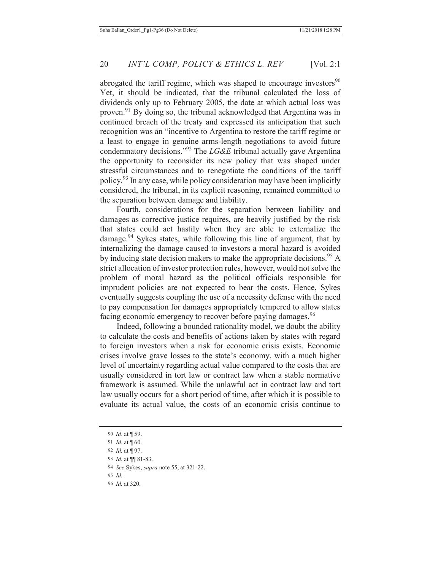abrogated the tariff regime, which was shaped to encourage investors $90$ Yet, it should be indicated, that the tribunal calculated the loss of dividends only up to February 2005, the date at which actual loss was proven.91 By doing so, the tribunal acknowledged that Argentina was in continued breach of the treaty and expressed its anticipation that such recognition was an "incentive to Argentina to restore the tariff regime or a least to engage in genuine arms-length negotiations to avoid future condemnatory decisions."92 The *LG&E* tribunal actually gave Argentina the opportunity to reconsider its new policy that was shaped under stressful circumstances and to renegotiate the conditions of the tariff policy.93 In any case, while policy consideration may have been implicitly considered, the tribunal, in its explicit reasoning, remained committed to the separation between damage and liability.

Fourth, considerations for the separation between liability and damages as corrective justice requires, are heavily justified by the risk that states could act hastily when they are able to externalize the damage.  $94$  Sykes states, while following this line of argument, that by internalizing the damage caused to investors a moral hazard is avoided by inducing state decision makers to make the appropriate decisions.<sup>95</sup> A strict allocation of investor protection rules, however, would not solve the problem of moral hazard as the political officials responsible for imprudent policies are not expected to bear the costs. Hence, Sykes eventually suggests coupling the use of a necessity defense with the need to pay compensation for damages appropriately tempered to allow states facing economic emergency to recover before paying damages.<sup>96</sup>

Indeed, following a bounded rationality model, we doubt the ability to calculate the costs and benefits of actions taken by states with regard to foreign investors when a risk for economic crisis exists. Economic crises involve grave losses to the state's economy, with a much higher level of uncertainty regarding actual value compared to the costs that are usually considered in tort law or contract law when a stable normative framework is assumed. While the unlawful act in contract law and tort law usually occurs for a short period of time, after which it is possible to evaluate its actual value, the costs of an economic crisis continue to

<sup>90</sup> *Id*. at ¶ 59.

<sup>91</sup> *Id.* at ¶ 60.

<sup>92</sup> *Id.* at ¶ 97.

<sup>93</sup> *Id.* at ¶¶ 81-83.

<sup>94</sup> *See* Sykes, *supra* note 55, at 321-22.

<sup>95</sup> *Id.*

<sup>96</sup> *Id.* at 320.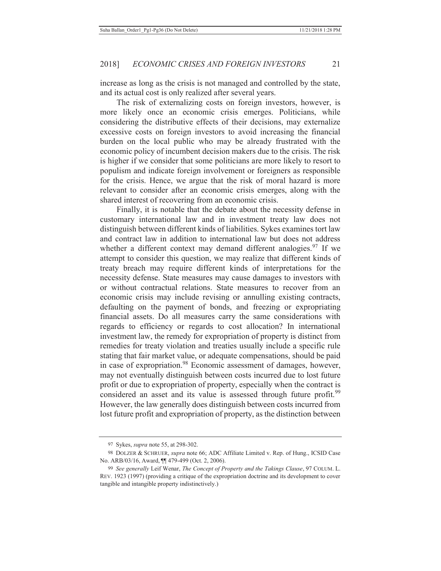increase as long as the crisis is not managed and controlled by the state, and its actual cost is only realized after several years.

The risk of externalizing costs on foreign investors, however, is more likely once an economic crisis emerges. Politicians, while considering the distributive effects of their decisions, may externalize excessive costs on foreign investors to avoid increasing the financial burden on the local public who may be already frustrated with the economic policy of incumbent decision makers due to the crisis. The risk is higher if we consider that some politicians are more likely to resort to populism and indicate foreign involvement or foreigners as responsible for the crisis. Hence, we argue that the risk of moral hazard is more relevant to consider after an economic crisis emerges, along with the shared interest of recovering from an economic crisis.

Finally, it is notable that the debate about the necessity defense in customary international law and in investment treaty law does not distinguish between different kinds of liabilities. Sykes examines tort law and contract law in addition to international law but does not address whether a different context may demand different analogies.<sup>97</sup> If we attempt to consider this question, we may realize that different kinds of treaty breach may require different kinds of interpretations for the necessity defense. State measures may cause damages to investors with or without contractual relations. State measures to recover from an economic crisis may include revising or annulling existing contracts, defaulting on the payment of bonds, and freezing or expropriating financial assets. Do all measures carry the same considerations with regards to efficiency or regards to cost allocation? In international investment law, the remedy for expropriation of property is distinct from remedies for treaty violation and treaties usually include a specific rule stating that fair market value, or adequate compensations, should be paid in case of expropriation.<sup>98</sup> Economic assessment of damages, however, may not eventually distinguish between costs incurred due to lost future profit or due to expropriation of property, especially when the contract is considered an asset and its value is assessed through future profit.<sup>99</sup> However, the law generally does distinguish between costs incurred from lost future profit and expropriation of property, as the distinction between

<sup>97</sup> Sykes, *supra* note 55, at 298-302.

<sup>98</sup> DOLZER & SCHRUER, *supra* note 66; ADC Affiliate Limited v. Rep. of Hung., ICSID Case No. ARB/03/16, Award, ¶¶ 479-499 (Oct. 2, 2006).

<sup>99</sup> *See generally* Leif Wenar, *The Concept of Property and the Takings Clause*, 97 COLUM. L. REV. 1923 (1997) (providing a critique of the expropriation doctrine and its development to cover tangible and intangible property indistinctively.)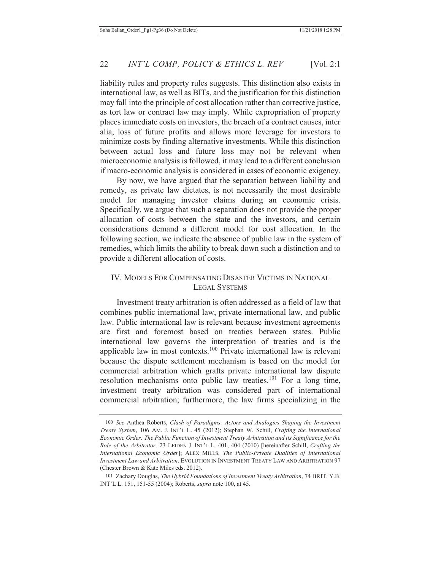liability rules and property rules suggests. This distinction also exists in international law, as well as BITs, and the justification for this distinction may fall into the principle of cost allocation rather than corrective justice, as tort law or contract law may imply. While expropriation of property places immediate costs on investors, the breach of a contract causes, inter alia, loss of future profits and allows more leverage for investors to minimize costs by finding alternative investments. While this distinction between actual loss and future loss may not be relevant when microeconomic analysis is followed, it may lead to a different conclusion if macro-economic analysis is considered in cases of economic exigency.

By now, we have argued that the separation between liability and remedy, as private law dictates, is not necessarily the most desirable model for managing investor claims during an economic crisis. Specifically, we argue that such a separation does not provide the proper allocation of costs between the state and the investors, and certain considerations demand a different model for cost allocation. In the following section, we indicate the absence of public law in the system of remedies, which limits the ability to break down such a distinction and to provide a different allocation of costs.

## IV. MODELS FOR COMPENSATING DISASTER VICTIMS IN NATIONAL LEGAL SYSTEMS

Investment treaty arbitration is often addressed as a field of law that combines public international law, private international law, and public law. Public international law is relevant because investment agreements are first and foremost based on treaties between states. Public international law governs the interpretation of treaties and is the applicable law in most contexts.100 Private international law is relevant because the dispute settlement mechanism is based on the model for commercial arbitration which grafts private international law dispute resolution mechanisms onto public law treaties.<sup>101</sup> For a long time, investment treaty arbitration was considered part of international commercial arbitration; furthermore, the law firms specializing in the

<sup>100</sup> *See* Anthea Roberts, *Clash of Paradigms: Actors and Analogies Shaping the Investment Treaty System*, 106 AM. J. INT'L L. 45 (2012); Stephan W. Schill, *Crafting the International Economic Order: The Public Function of Investment Treaty Arbitration and its Significance for the Role of the Arbitrator,* 23 LEIDEN J. INT'L L. 401, 404 (2010) [hereinafter Schill, *Crafting the International Economic Order*]; ALEX MILLS, *The Public-Private Dualities of International Investment Law and Arbitration,* EVOLUTION IN INVESTMENT TREATY LAW AND ARBITRATION 97 (Chester Brown & Kate Miles eds. 2012).

<sup>101</sup> Zachary Douglas, *The Hybrid Foundations of Investment Treaty Arbitration*, 74 BRIT. Y.B. INT'L L. 151, 151-55 (2004); Roberts, *supra* note 100, at 45.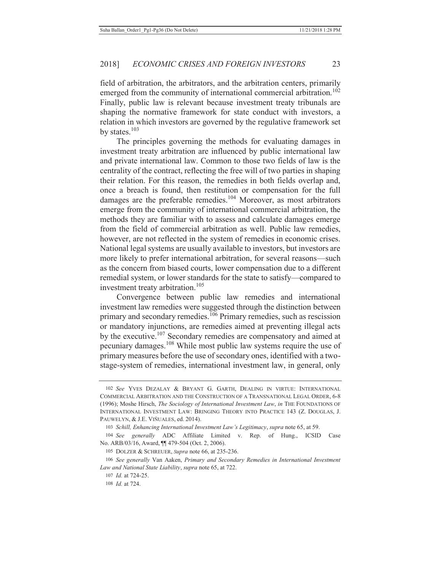field of arbitration, the arbitrators, and the arbitration centers, primarily emerged from the community of international commercial arbitration.<sup>102</sup> Finally, public law is relevant because investment treaty tribunals are shaping the normative framework for state conduct with investors, a relation in which investors are governed by the regulative framework set by states.<sup>103</sup>

The principles governing the methods for evaluating damages in investment treaty arbitration are influenced by public international law and private international law. Common to those two fields of law is the centrality of the contract, reflecting the free will of two parties in shaping their relation. For this reason, the remedies in both fields overlap and, once a breach is found, then restitution or compensation for the full damages are the preferable remedies.<sup>104</sup> Moreover, as most arbitrators emerge from the community of international commercial arbitration, the methods they are familiar with to assess and calculate damages emerge from the field of commercial arbitration as well. Public law remedies, however, are not reflected in the system of remedies in economic crises. National legal systems are usually available to investors, but investors are more likely to prefer international arbitration, for several reasons—such as the concern from biased courts, lower compensation due to a different remedial system, or lower standards for the state to satisfy—compared to investment treaty arbitration.<sup>105</sup>

Convergence between public law remedies and international investment law remedies were suggested through the distinction between primary and secondary remedies.<sup>106</sup> Primary remedies, such as rescission or mandatory injunctions, are remedies aimed at preventing illegal acts by the executive.<sup>107</sup> Secondary remedies are compensatory and aimed at pecuniary damages.108 While most public law systems require the use of primary measures before the use of secondary ones, identified with a twostage-system of remedies, international investment law, in general, only

107 *Id.* at 724-25.

<sup>102</sup> *See* YVES DEZALAY & BRYANT G. GARTH, DEALING IN VIRTUE: INTERNATIONAL COMMERCIAL ARBITRATION AND THE CONSTRUCTION OF A TRANSNATIONAL LEGAL ORDER, 6-8 (1996); Moshe Hirsch, *The Sociology of International Investment Law*, *in* THE FOUNDATIONS OF INTERNATIONAL INVESTMENT LAW: BRINGING THEORY INTO PRACTICE 143 (Z. DOUGLAS, J. PAUWELYN, & J.E. VIÑUALES, ed. 2014).

<sup>103</sup> *Schill, Enhancing International Investment Law's Legitimacy*, *supra* note 65, at 59.

<sup>104</sup> *See generally* ADC Affiliate Limited v. Rep. of Hung., ICSID Case No. ARB/03/16, Award, ¶¶ 479-504 (Oct. 2, 2006).

<sup>105</sup> DOLZER & SCHREUER, *Supra* note 66, at 235-236.

<sup>106</sup> *See generally* Van Aaken, *Primary and Secondary Remedies in International Investment Law and National State Liability*, *supra* note 65, at 722.

<sup>108</sup> *Id.* at 724.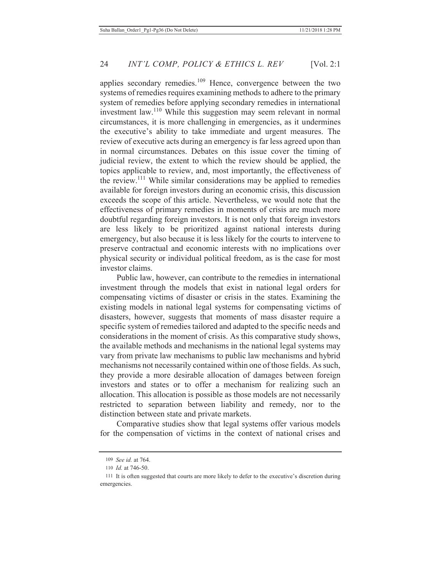applies secondary remedies.<sup>109</sup> Hence, convergence between the two systems of remedies requires examining methods to adhere to the primary system of remedies before applying secondary remedies in international investment law.110 While this suggestion may seem relevant in normal circumstances, it is more challenging in emergencies, as it undermines the executive's ability to take immediate and urgent measures. The review of executive acts during an emergency is far less agreed upon than in normal circumstances. Debates on this issue cover the timing of judicial review, the extent to which the review should be applied, the topics applicable to review, and, most importantly, the effectiveness of the review.111 While similar considerations may be applied to remedies available for foreign investors during an economic crisis, this discussion exceeds the scope of this article. Nevertheless, we would note that the effectiveness of primary remedies in moments of crisis are much more doubtful regarding foreign investors. It is not only that foreign investors are less likely to be prioritized against national interests during emergency, but also because it is less likely for the courts to intervene to preserve contractual and economic interests with no implications over physical security or individual political freedom, as is the case for most investor claims.

Public law, however, can contribute to the remedies in international investment through the models that exist in national legal orders for compensating victims of disaster or crisis in the states. Examining the existing models in national legal systems for compensating victims of disasters, however, suggests that moments of mass disaster require a specific system of remedies tailored and adapted to the specific needs and considerations in the moment of crisis. As this comparative study shows, the available methods and mechanisms in the national legal systems may vary from private law mechanisms to public law mechanisms and hybrid mechanisms not necessarily contained within one of those fields. As such, they provide a more desirable allocation of damages between foreign investors and states or to offer a mechanism for realizing such an allocation. This allocation is possible as those models are not necessarily restricted to separation between liability and remedy, nor to the distinction between state and private markets.

Comparative studies show that legal systems offer various models for the compensation of victims in the context of national crises and

<sup>109</sup> *See id.* at 764.

<sup>110</sup> *Id.* at 746-50.

<sup>111</sup> It is often suggested that courts are more likely to defer to the executive's discretion during emergencies.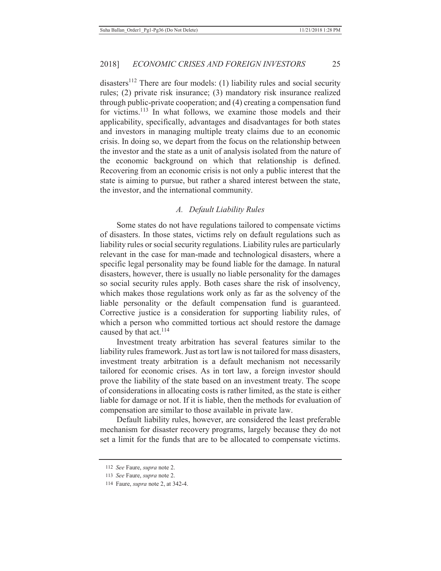disasters<sup>112</sup> There are four models: (1) liability rules and social security rules; (2) private risk insurance; (3) mandatory risk insurance realized through public-private cooperation; and (4) creating a compensation fund for victims.<sup>113</sup> In what follows, we examine those models and their applicability, specifically, advantages and disadvantages for both states and investors in managing multiple treaty claims due to an economic crisis. In doing so, we depart from the focus on the relationship between the investor and the state as a unit of analysis isolated from the nature of the economic background on which that relationship is defined. Recovering from an economic crisis is not only a public interest that the state is aiming to pursue, but rather a shared interest between the state, the investor, and the international community.

#### *A. Default Liability Rules*

Some states do not have regulations tailored to compensate victims of disasters. In those states, victims rely on default regulations such as liability rules or social security regulations. Liability rules are particularly relevant in the case for man-made and technological disasters, where a specific legal personality may be found liable for the damage. In natural disasters, however, there is usually no liable personality for the damages so social security rules apply. Both cases share the risk of insolvency, which makes those regulations work only as far as the solvency of the liable personality or the default compensation fund is guaranteed. Corrective justice is a consideration for supporting liability rules, of which a person who committed tortious act should restore the damage caused by that act. $^{114}$ 

Investment treaty arbitration has several features similar to the liability rules framework. Just as tort law is not tailored for mass disasters, investment treaty arbitration is a default mechanism not necessarily tailored for economic crises. As in tort law, a foreign investor should prove the liability of the state based on an investment treaty. The scope of considerations in allocating costs is rather limited, as the state is either liable for damage or not. If it is liable, then the methods for evaluation of compensation are similar to those available in private law.

Default liability rules, however, are considered the least preferable mechanism for disaster recovery programs, largely because they do not set a limit for the funds that are to be allocated to compensate victims.

<sup>112</sup> *See* Faure, *supra* note 2.

<sup>113</sup> *See* Faure, *supra* note 2.

<sup>114</sup> Faure, *supra* note 2, at 342-4.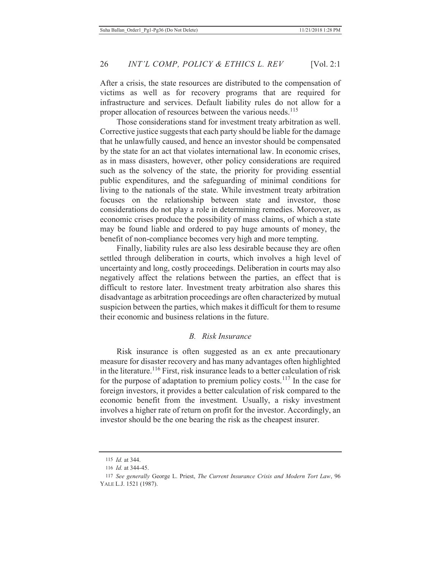After a crisis, the state resources are distributed to the compensation of victims as well as for recovery programs that are required for infrastructure and services. Default liability rules do not allow for a proper allocation of resources between the various needs.<sup>115</sup>

Those considerations stand for investment treaty arbitration as well. Corrective justice suggests that each party should be liable for the damage that he unlawfully caused, and hence an investor should be compensated by the state for an act that violates international law. In economic crises, as in mass disasters, however, other policy considerations are required such as the solvency of the state, the priority for providing essential public expenditures, and the safeguarding of minimal conditions for living to the nationals of the state. While investment treaty arbitration focuses on the relationship between state and investor, those considerations do not play a role in determining remedies. Moreover, as economic crises produce the possibility of mass claims, of which a state may be found liable and ordered to pay huge amounts of money, the benefit of non-compliance becomes very high and more tempting.

Finally, liability rules are also less desirable because they are often settled through deliberation in courts, which involves a high level of uncertainty and long, costly proceedings. Deliberation in courts may also negatively affect the relations between the parties, an effect that is difficult to restore later. Investment treaty arbitration also shares this disadvantage as arbitration proceedings are often characterized by mutual suspicion between the parties, which makes it difficult for them to resume their economic and business relations in the future.

## *B. Risk Insurance*

Risk insurance is often suggested as an ex ante precautionary measure for disaster recovery and has many advantages often highlighted in the literature.<sup>116</sup> First, risk insurance leads to a better calculation of risk for the purpose of adaptation to premium policy costs.<sup>117</sup> In the case for foreign investors, it provides a better calculation of risk compared to the economic benefit from the investment. Usually, a risky investment involves a higher rate of return on profit for the investor. Accordingly, an investor should be the one bearing the risk as the cheapest insurer.

<sup>115</sup> *Id.* at 344.

<sup>116</sup> *Id.* at 344-45.

<sup>117</sup> *See generally* George L. Priest, *The Current Insurance Crisis and Modern Tort Law*, 96 YALE L.J. 1521 (1987).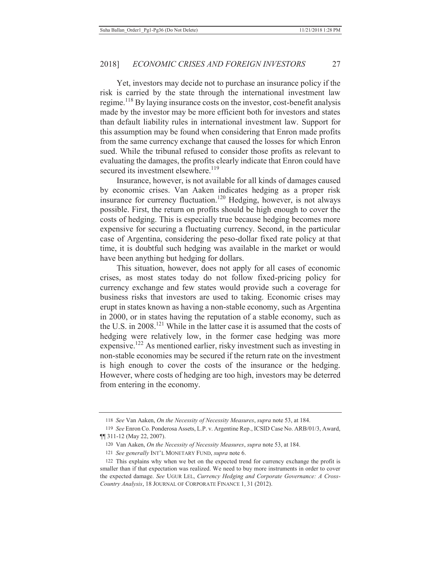Yet, investors may decide not to purchase an insurance policy if the risk is carried by the state through the international investment law regime.118 By laying insurance costs on the investor, cost-benefit analysis made by the investor may be more efficient both for investors and states than default liability rules in international investment law. Support for this assumption may be found when considering that Enron made profits from the same currency exchange that caused the losses for which Enron sued. While the tribunal refused to consider those profits as relevant to evaluating the damages, the profits clearly indicate that Enron could have secured its investment elsewhere.<sup>119</sup>

Insurance, however, is not available for all kinds of damages caused by economic crises. Van Aaken indicates hedging as a proper risk insurance for currency fluctuation.120 Hedging, however, is not always possible. First, the return on profits should be high enough to cover the costs of hedging. This is especially true because hedging becomes more expensive for securing a fluctuating currency. Second, in the particular case of Argentina, considering the peso-dollar fixed rate policy at that time, it is doubtful such hedging was available in the market or would have been anything but hedging for dollars.

This situation, however, does not apply for all cases of economic crises, as most states today do not follow fixed-pricing policy for currency exchange and few states would provide such a coverage for business risks that investors are used to taking. Economic crises may erupt in states known as having a non-stable economy, such as Argentina in 2000, or in states having the reputation of a stable economy, such as the U.S. in 2008.121 While in the latter case it is assumed that the costs of hedging were relatively low, in the former case hedging was more expensive.122 As mentioned earlier, risky investment such as investing in non-stable economies may be secured if the return rate on the investment is high enough to cover the costs of the insurance or the hedging. However, where costs of hedging are too high, investors may be deterred from entering in the economy.

<sup>118</sup> *See* Van Aaken, *On the Necessity of Necessity Measures*, *supra* note 53, at 184.

<sup>119</sup> *See* Enron Co. Ponderosa Assets, L.P. v. Argentine Rep., ICSID Case No. ARB/01/3, Award, ¶¶ 311-12 (May 22, 2007).

<sup>120</sup> Van Aaken, *On the Necessity of Necessity Measures*, *supra* note 53, at 184.

<sup>121</sup> *See generally* INT'L MONETARY FUND, *supra* note 6.

<sup>122</sup> This explains why when we bet on the expected trend for currency exchange the profit is smaller than if that expectation was realized. We need to buy more instruments in order to cover the expected damage. *See* UGUR LEL, *Currency Hedging and Corporate Governance: A Cross-Country Analysis*, 18 JOURNAL OF CORPORATE FINANCE 1, 31 (2012).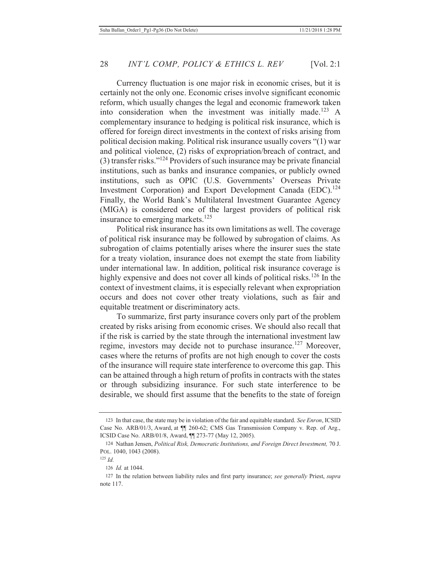Currency fluctuation is one major risk in economic crises, but it is certainly not the only one. Economic crises involve significant economic reform, which usually changes the legal and economic framework taken into consideration when the investment was initially made.<sup>123</sup> A complementary insurance to hedging is political risk insurance, which is offered for foreign direct investments in the context of risks arising from political decision making. Political risk insurance usually covers "(1) war and political violence, (2) risks of expropriation/breach of contract, and (3) transfer risks."124 Providers of such insurance may be private financial institutions, such as banks and insurance companies, or publicly owned institutions, such as OPIC (U.S. Governments' Overseas Private Investment Corporation) and Export Development Canada (EDC).<sup>124</sup> Finally, the World Bank's Multilateral Investment Guarantee Agency (MIGA) is considered one of the largest providers of political risk insurance to emerging markets.<sup>125</sup>

Political risk insurance has its own limitations as well. The coverage of political risk insurance may be followed by subrogation of claims. As subrogation of claims potentially arises where the insurer sues the state for a treaty violation, insurance does not exempt the state from liability under international law. In addition, political risk insurance coverage is highly expensive and does not cover all kinds of political risks.<sup>126</sup> In the context of investment claims, it is especially relevant when expropriation occurs and does not cover other treaty violations, such as fair and equitable treatment or discriminatory acts.

To summarize, first party insurance covers only part of the problem created by risks arising from economic crises. We should also recall that if the risk is carried by the state through the international investment law regime, investors may decide not to purchase insurance.<sup>127</sup> Moreover, cases where the returns of profits are not high enough to cover the costs of the insurance will require state interference to overcome this gap. This can be attained through a high return of profits in contracts with the states or through subsidizing insurance. For such state interference to be desirable, we should first assume that the benefits to the state of foreign

<sup>123</sup> In that case, the state may be in violation of the fair and equitable standard. *See Enron*, ICSID Case No. ARB/01/3, Award, at ¶¶ 260-62; CMS Gas Transmission Company v. Rep. of Arg., ICSID Case No. ARB/01/8, Award, ¶¶ 273-77 (May 12, 2005).

<sup>124</sup> Nathan Jensen, *Political Risk, Democratic Institutions, and Foreign Direct Investment,* 70 J. POL. 1040, 1043 (2008).

<sup>125</sup> *Id.*

<sup>126</sup> *Id.* at 1044.

<sup>127</sup> In the relation between liability rules and first party insurance; *see generally* Priest, *supra* note 117.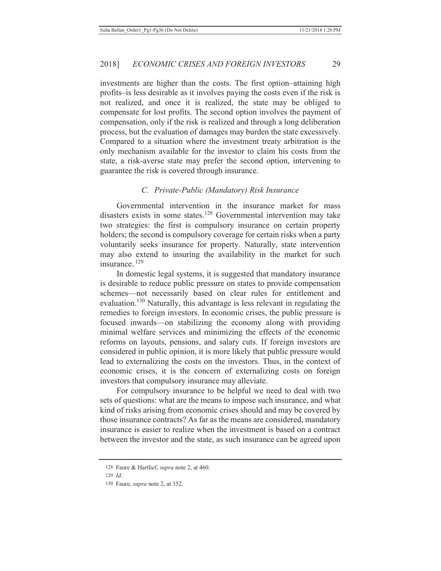investments are higher than the costs. The first option–attaining high profits–is less desirable as it involves paying the costs even if the risk is not realized, and once it is realized, the state may be obliged to compensate for lost profits. The second option involves the payment of compensation, only if the risk is realized and through a long deliberation process, but the evaluation of damages may burden the state excessively. Compared to a situation where the investment treaty arbitration is the only mechanism available for the investor to claim his costs from the state, a risk-averse state may prefer the second option, intervening to guarantee the risk is covered through insurance.

#### *C. Private-Public (Mandatory) Risk Insurance*

Governmental intervention in the insurance market for mass disasters exists in some states.<sup>128</sup> Governmental intervention may take two strategies: the first is compulsory insurance on certain property holders; the second is compulsory coverage for certain risks when a party voluntarily seeks insurance for property. Naturally, state intervention may also extend to insuring the availability in the market for such insurance 129

In domestic legal systems, it is suggested that mandatory insurance is desirable to reduce public pressure on states to provide compensation schemes—not necessarily based on clear rules for entitlement and evaluation.<sup>130</sup> Naturally, this advantage is less relevant in regulating the remedies to foreign investors. In economic crises, the public pressure is focused inwards—on stabilizing the economy along with providing minimal welfare services and minimizing the effects of the economic reforms on layouts, pensions, and salary cuts. If foreign investors are considered in public opinion, it is more likely that public pressure would lead to externalizing the costs on the investors. Thus, in the context of economic crises, it is the concern of externalizing costs on foreign investors that compulsory insurance may alleviate.

For compulsory insurance to be helpful we need to deal with two sets of questions: what are the means to impose such insurance, and what kind of risks arising from economic crises should and may be covered by those insurance contracts? As far as the means are considered, mandatory insurance is easier to realize when the investment is based on a contract between the investor and the state, as such insurance can be agreed upon

<sup>128</sup> Faure & Hartlief, *supra* note 2, at 460.

<sup>129</sup> *Id*.

<sup>130</sup> Faure, *supra* note 2, at 352.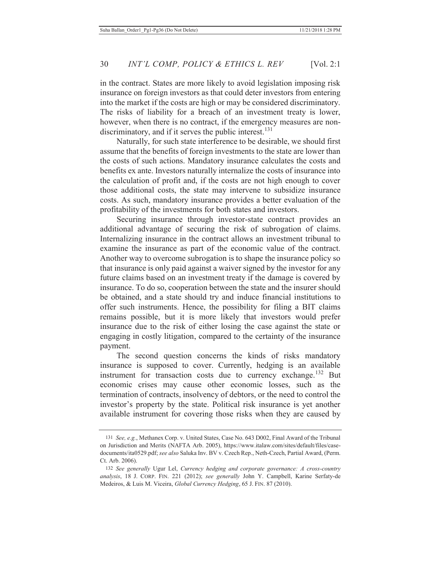in the contract. States are more likely to avoid legislation imposing risk insurance on foreign investors as that could deter investors from entering into the market if the costs are high or may be considered discriminatory. The risks of liability for a breach of an investment treaty is lower, however, when there is no contract, if the emergency measures are nondiscriminatory, and if it serves the public interest.<sup>131</sup>

Naturally, for such state interference to be desirable, we should first assume that the benefits of foreign investments to the state are lower than the costs of such actions. Mandatory insurance calculates the costs and benefits ex ante. Investors naturally internalize the costs of insurance into the calculation of profit and, if the costs are not high enough to cover those additional costs, the state may intervene to subsidize insurance costs. As such, mandatory insurance provides a better evaluation of the profitability of the investments for both states and investors.

Securing insurance through investor-state contract provides an additional advantage of securing the risk of subrogation of claims. Internalizing insurance in the contract allows an investment tribunal to examine the insurance as part of the economic value of the contract. Another way to overcome subrogation is to shape the insurance policy so that insurance is only paid against a waiver signed by the investor for any future claims based on an investment treaty if the damage is covered by insurance. To do so, cooperation between the state and the insurer should be obtained, and a state should try and induce financial institutions to offer such instruments. Hence, the possibility for filing a BIT claims remains possible, but it is more likely that investors would prefer insurance due to the risk of either losing the case against the state or engaging in costly litigation, compared to the certainty of the insurance payment.

The second question concerns the kinds of risks mandatory insurance is supposed to cover. Currently, hedging is an available instrument for transaction costs due to currency exchange.<sup>132</sup> But economic crises may cause other economic losses, such as the termination of contracts, insolvency of debtors, or the need to control the investor's property by the state. Political risk insurance is yet another available instrument for covering those risks when they are caused by

<sup>131</sup> *See, e.g.*, Methanex Corp. v. United States, Case No. 643 D002, Final Award of the Tribunal on Jurisdiction and Merits (NAFTA Arb. 2005), https://www.italaw.com/sites/default/files/casedocuments/ita0529.pdf; *see also* Saluka Inv. BV v. Czech Rep., Neth-Czech, Partial Award, (Perm. Ct. Arb. 2006).

<sup>132</sup> *See generally* Ugur Lel, *Currency hedging and corporate governance: A cross-country analysis*, 18 J. CORP. FIN. 221 (2012); *see generally* John Y. Campbell, Karine Serfaty-de Medeiros, & Luis M. Viceira, *Global Currency Hedging*, 65 J. FIN. 87 (2010).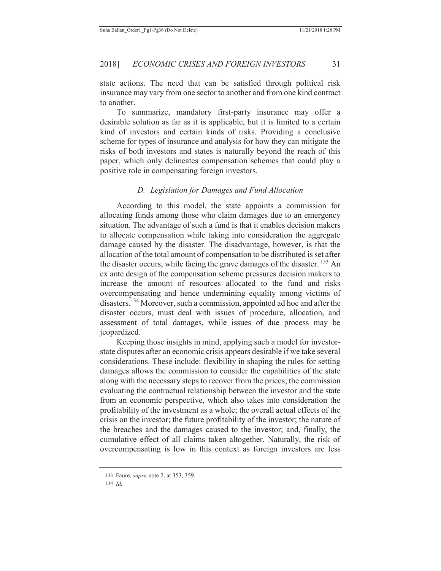state actions. The need that can be satisfied through political risk insurance may vary from one sector to another and from one kind contract to another.

To summarize, mandatory first-party insurance may offer a desirable solution as far as it is applicable, but it is limited to a certain kind of investors and certain kinds of risks. Providing a conclusive scheme for types of insurance and analysis for how they can mitigate the risks of both investors and states is naturally beyond the reach of this paper, which only delineates compensation schemes that could play a positive role in compensating foreign investors.

### *D. Legislation for Damages and Fund Allocation*

According to this model, the state appoints a commission for allocating funds among those who claim damages due to an emergency situation. The advantage of such a fund is that it enables decision makers to allocate compensation while taking into consideration the aggregate damage caused by the disaster. The disadvantage, however, is that the allocation of the total amount of compensation to be distributed is set after the disaster occurs, while facing the grave damages of the disaster.  $^{133}$  An ex ante design of the compensation scheme pressures decision makers to increase the amount of resources allocated to the fund and risks overcompensating and hence undermining equality among victims of disasters.134 Moreover, such a commission, appointed ad hoc and after the disaster occurs, must deal with issues of procedure, allocation, and assessment of total damages, while issues of due process may be jeopardized.

Keeping those insights in mind, applying such a model for investorstate disputes after an economic crisis appears desirable if we take several considerations. These include: flexibility in shaping the rules for setting damages allows the commission to consider the capabilities of the state along with the necessary steps to recover from the prices; the commission evaluating the contractual relationship between the investor and the state from an economic perspective, which also takes into consideration the profitability of the investment as a whole; the overall actual effects of the crisis on the investor; the future profitability of the investor; the nature of the breaches and the damages caused to the investor; and, finally, the cumulative effect of all claims taken altogether. Naturally, the risk of overcompensating is low in this context as foreign investors are less

<sup>133</sup> Faure, *supra* note 2, at 353, 359.

<sup>134</sup> *Id.*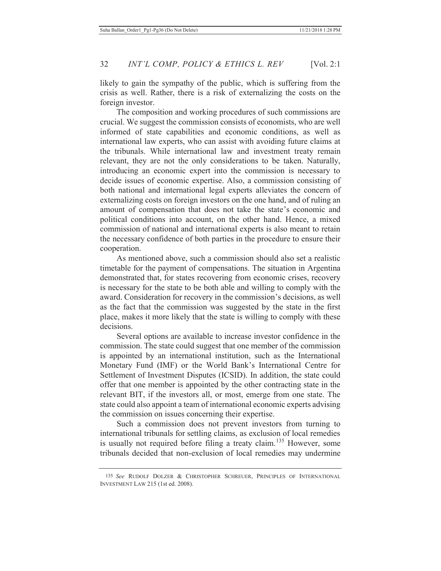likely to gain the sympathy of the public, which is suffering from the crisis as well. Rather, there is a risk of externalizing the costs on the foreign investor.

The composition and working procedures of such commissions are crucial. We suggest the commission consists of economists, who are well informed of state capabilities and economic conditions, as well as international law experts, who can assist with avoiding future claims at the tribunals. While international law and investment treaty remain relevant, they are not the only considerations to be taken. Naturally, introducing an economic expert into the commission is necessary to decide issues of economic expertise. Also, a commission consisting of both national and international legal experts alleviates the concern of externalizing costs on foreign investors on the one hand, and of ruling an amount of compensation that does not take the state's economic and political conditions into account, on the other hand. Hence, a mixed commission of national and international experts is also meant to retain the necessary confidence of both parties in the procedure to ensure their cooperation.

As mentioned above, such a commission should also set a realistic timetable for the payment of compensations. The situation in Argentina demonstrated that, for states recovering from economic crises, recovery is necessary for the state to be both able and willing to comply with the award. Consideration for recovery in the commission's decisions, as well as the fact that the commission was suggested by the state in the first place, makes it more likely that the state is willing to comply with these decisions.

Several options are available to increase investor confidence in the commission. The state could suggest that one member of the commission is appointed by an international institution, such as the International Monetary Fund (IMF) or the World Bank's International Centre for Settlement of Investment Disputes (ICSID). In addition, the state could offer that one member is appointed by the other contracting state in the relevant BIT, if the investors all, or most, emerge from one state. The state could also appoint a team of international economic experts advising the commission on issues concerning their expertise.

Such a commission does not prevent investors from turning to international tribunals for settling claims, as exclusion of local remedies is usually not required before filing a treaty claim.<sup>135</sup> However, some tribunals decided that non-exclusion of local remedies may undermine

<sup>135</sup> *See* RUDOLF DOLZER & CHRISTOPHER SCHREUER, PRINCIPLES OF INTERNATIONAL INVESTMENT LAW 215 (1st ed. 2008).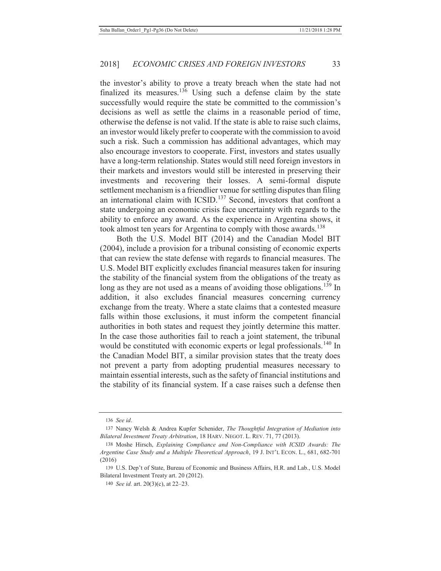the investor's ability to prove a treaty breach when the state had not finalized its measures.<sup>136</sup> Using such a defense claim by the state successfully would require the state be committed to the commission's decisions as well as settle the claims in a reasonable period of time, otherwise the defense is not valid. If the state is able to raise such claims, an investor would likely prefer to cooperate with the commission to avoid such a risk. Such a commission has additional advantages, which may also encourage investors to cooperate. First, investors and states usually have a long-term relationship. States would still need foreign investors in their markets and investors would still be interested in preserving their investments and recovering their losses. A semi-formal dispute settlement mechanism is a friendlier venue for settling disputes than filing an international claim with ICSID.<sup>137</sup> Second, investors that confront a state undergoing an economic crisis face uncertainty with regards to the ability to enforce any award. As the experience in Argentina shows, it took almost ten years for Argentina to comply with those awards.<sup>138</sup>

Both the U.S. Model BIT (2014) and the Canadian Model BIT (2004), include a provision for a tribunal consisting of economic experts that can review the state defense with regards to financial measures. The U.S. Model BIT explicitly excludes financial measures taken for insuring the stability of the financial system from the obligations of the treaty as long as they are not used as a means of avoiding those obligations.<sup>139</sup> In addition, it also excludes financial measures concerning currency exchange from the treaty. Where a state claims that a contested measure falls within those exclusions, it must inform the competent financial authorities in both states and request they jointly determine this matter. In the case those authorities fail to reach a joint statement, the tribunal would be constituted with economic experts or legal professionals.<sup>140</sup> In the Canadian Model BIT, a similar provision states that the treaty does not prevent a party from adopting prudential measures necessary to maintain essential interests, such as the safety of financial institutions and the stability of its financial system. If a case raises such a defense then

<sup>136</sup> *See id*.

<sup>137</sup> Nancy Welsh & Andrea Kupfer Schenider, *The Thoughtful Integration of Mediation into Bilateral Investment Treaty Arbitration*, 18 HARV. NEGOT. L. REV. 71, 77 (2013).

<sup>138</sup> Moshe Hirsch, *Explaining Compliance and Non-Compliance with ICSID Awards: The Argentine Case Study and a Multiple Theoretical Approach*, 19 J. INT'L ECON. L., 681, 682-701 (2016)

<sup>139</sup> U.S. Dep't of State, Bureau of Economic and Business Affairs, H.R. and Lab., U.S. Model Bilateral Investment Treaty art. 20 (2012).

<sup>140</sup> *See id.* art. 20(3)(c), at 22–23.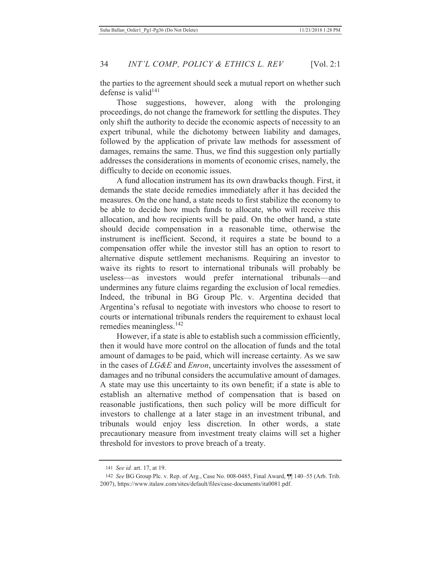the parties to the agreement should seek a mutual report on whether such defense is valid<sup>141</sup>

Those suggestions, however, along with the prolonging proceedings, do not change the framework for settling the disputes. They only shift the authority to decide the economic aspects of necessity to an expert tribunal, while the dichotomy between liability and damages, followed by the application of private law methods for assessment of damages, remains the same. Thus, we find this suggestion only partially addresses the considerations in moments of economic crises, namely, the difficulty to decide on economic issues.

A fund allocation instrument has its own drawbacks though. First, it demands the state decide remedies immediately after it has decided the measures. On the one hand, a state needs to first stabilize the economy to be able to decide how much funds to allocate, who will receive this allocation, and how recipients will be paid. On the other hand, a state should decide compensation in a reasonable time, otherwise the instrument is inefficient. Second, it requires a state be bound to a compensation offer while the investor still has an option to resort to alternative dispute settlement mechanisms. Requiring an investor to waive its rights to resort to international tribunals will probably be useless—as investors would prefer international tribunals—and undermines any future claims regarding the exclusion of local remedies. Indeed, the tribunal in BG Group Plc. v. Argentina decided that Argentina's refusal to negotiate with investors who choose to resort to courts or international tribunals renders the requirement to exhaust local remedies meaningless.<sup>142</sup>

However, if a state is able to establish such a commission efficiently, then it would have more control on the allocation of funds and the total amount of damages to be paid, which will increase certainty. As we saw in the cases of *LG&E* and *Enron*, uncertainty involves the assessment of damages and no tribunal considers the accumulative amount of damages. A state may use this uncertainty to its own benefit; if a state is able to establish an alternative method of compensation that is based on reasonable justifications, then such policy will be more difficult for investors to challenge at a later stage in an investment tribunal, and tribunals would enjoy less discretion. In other words, a state precautionary measure from investment treaty claims will set a higher threshold for investors to prove breach of a treaty.

<sup>141</sup> *See id.* art. 17, at 19.

<sup>142</sup> *See* BG Group Plc. v. Rep. of Arg., Case No. 008-0485, Final Award, ¶¶ 140–55 (Arb. Trib. 2007), https://www.italaw.com/sites/default/files/case-documents/ita0081.pdf.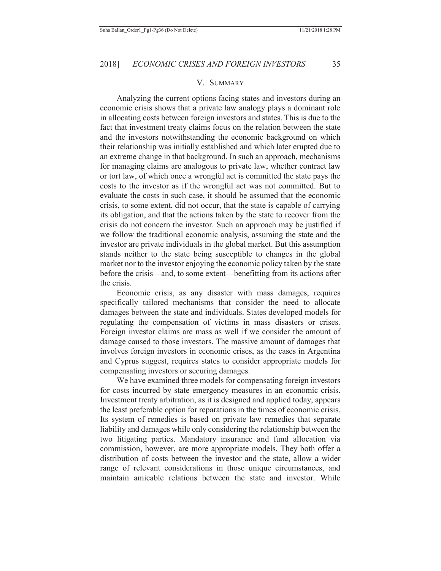#### V. SUMMARY

Analyzing the current options facing states and investors during an economic crisis shows that a private law analogy plays a dominant role in allocating costs between foreign investors and states. This is due to the fact that investment treaty claims focus on the relation between the state and the investors notwithstanding the economic background on which their relationship was initially established and which later erupted due to an extreme change in that background. In such an approach, mechanisms for managing claims are analogous to private law, whether contract law or tort law, of which once a wrongful act is committed the state pays the costs to the investor as if the wrongful act was not committed. But to evaluate the costs in such case, it should be assumed that the economic crisis, to some extent, did not occur, that the state is capable of carrying its obligation, and that the actions taken by the state to recover from the crisis do not concern the investor. Such an approach may be justified if we follow the traditional economic analysis, assuming the state and the investor are private individuals in the global market. But this assumption stands neither to the state being susceptible to changes in the global market nor to the investor enjoying the economic policy taken by the state before the crisis—and, to some extent—benefitting from its actions after the crisis.

Economic crisis, as any disaster with mass damages, requires specifically tailored mechanisms that consider the need to allocate damages between the state and individuals. States developed models for regulating the compensation of victims in mass disasters or crises. Foreign investor claims are mass as well if we consider the amount of damage caused to those investors. The massive amount of damages that involves foreign investors in economic crises, as the cases in Argentina and Cyprus suggest, requires states to consider appropriate models for compensating investors or securing damages.

We have examined three models for compensating foreign investors for costs incurred by state emergency measures in an economic crisis. Investment treaty arbitration, as it is designed and applied today, appears the least preferable option for reparations in the times of economic crisis. Its system of remedies is based on private law remedies that separate liability and damages while only considering the relationship between the two litigating parties. Mandatory insurance and fund allocation via commission, however, are more appropriate models. They both offer a distribution of costs between the investor and the state, allow a wider range of relevant considerations in those unique circumstances, and maintain amicable relations between the state and investor. While